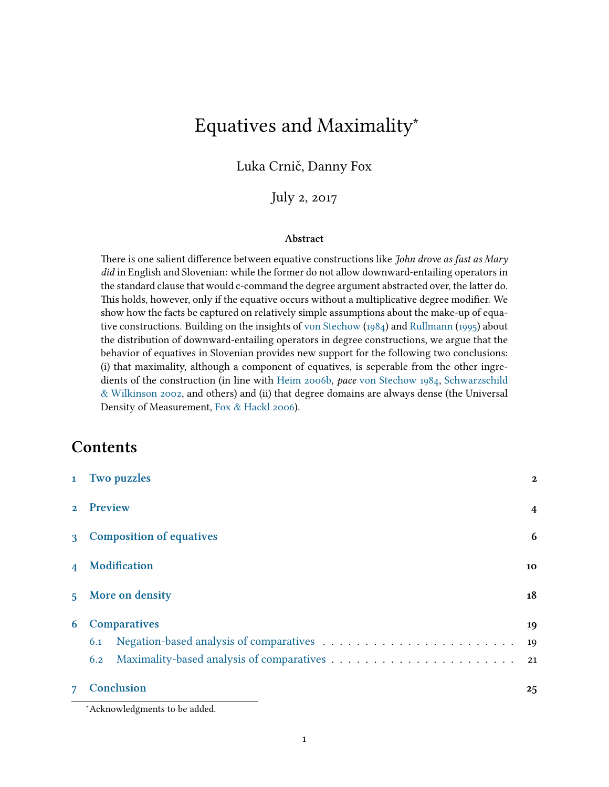## Equatives and Maximality<sup>∗</sup>

Luka Crnič, Danny Fox

July 2, 2017

#### Abstract

There is one salient difference between equative constructions like John drove as fast as Mary did in English and Slovenian: while the former do not allow downward-entailing operators in the standard clause that would c-command the degree argument abstracted over, the latter do. This holds, however, only if the equative occurs without a multiplicative degree modifier. We show how the facts be captured on relatively simple assumptions about the make-up of equative constructions. Building on the insights of [von Stechow](#page-27-0) [\(1984\)](#page-27-0) and [Rullmann](#page-26-0) [\(1995\)](#page-26-0) about the distribution of downward-entailing operators in degree constructions, we argue that the behavior of equatives in Slovenian provides new support for the following two conclusions: (i) that maximality, although a component of equatives, is seperable from the other ingredients of the construction (in line with [Heim](#page-25-0) [2006b,](#page-25-0) pace [von Stechow](#page-27-0) [1984,](#page-27-0) [Schwarzschild](#page-26-1) [& Wilkinson](#page-26-1) [2002,](#page-26-1) and others) and (ii) that degree domains are always dense (the Universal Density of Measurement, [Fox & Hackl](#page-25-1) [2006\)](#page-25-1).

#### Contents

|                         | 1 Two puzzles                   | $\mathbf{2}$   |
|-------------------------|---------------------------------|----------------|
|                         | 2 Preview                       | $\overline{4}$ |
| 3 <sup>1</sup>          | <b>Composition of equatives</b> | 6              |
| $\overline{\mathbf{4}}$ | Modification                    | 10             |
|                         | 5 More on density               | 18             |
| 6                       | <b>Comparatives</b>             | 19             |
|                         | 6.1                             | 19             |
|                         | 6.2                             |                |
| 7 <sup>1</sup>          | Conclusion                      | 25             |

<sup>∗</sup>Acknowledgments to be added.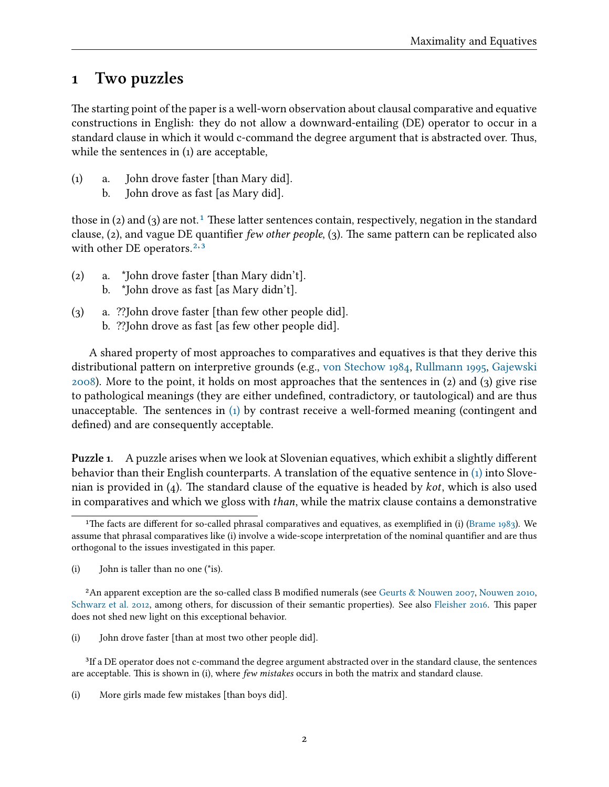#### <span id="page-1-0"></span>1 Two puzzles

The starting point of the paper is a well-worn observation about clausal comparative and equative constructions in English: they do not allow a downward-entailing (DE) operator to occur in a standard clause in which it would c-command the degree argument that is abstracted over. Thus, while the sentences in (1) are acceptable,

- <span id="page-1-4"></span>(1) a. John drove faster [than Mary did].
	- b. John drove as fast [as Mary did].

those in (2) and (3) are not.<sup>1</sup> These latter sentences contain, respectively, negation in the standard clause, (2), and vague DE quantifier *few other people*, ([3](#page-1-1)). The same pattern can be replicated also with other DE operators.<sup>2,3</sup> with other DE operators.<sup>2[,](#page-1-2)3</sup>

- (2) a. \*John drove faster [than Mary didn't]. b. \*John drove as fast [as Mary didn't].
- $(3)$  a. ??John drove faster [than few other people did]. b. ??John drove as fast [as few other people did].

A shared property of most approaches to comparatives and equatives is that they derive this distributional pattern on interpretive grounds (e.g., [von Stechow](#page-27-0) [1984,](#page-27-0) [Rullmann](#page-26-0) [1995,](#page-26-0) [Gajewski](#page-25-2) [2008\)](#page-25-2). More to the point, it holds on most approaches that the sentences in (2) and (3) give rise to pathological meanings (they are either undefined, contradictory, or tautological) and are thus unacceptable. The sentences in  $(1)$  by contrast receive a well-formed meaning (contingent and defined) and are consequently acceptable.

Puzzle 1. A puzzle arises when we look at Slovenian equatives, which exhibit a slightly different behavior than their English counterparts. A translation of the equative sentence in [\(1\)](#page-1-4) into Slovenian is provided in  $(4)$ . The standard clause of the equative is headed by *kot*, which is also used in comparatives and which we gloss with *than*, while the matrix clause contains a demonstrative<br>————————————————————

(i) John drove faster [than at most two other people did].

<span id="page-1-3"></span><sup>3</sup>If a DE operator does not c-command the degree argument abstracted over in the standard clause, the sentences are acceptable. This is shown in (i), where few mistakes occurs in both the matrix and standard clause.

(i) More girls made few mistakes [than boys did].

<span id="page-1-1"></span><sup>&</sup>lt;sup>1</sup>The facts are different for so-called phrasal comparatives and equatives, as exemplified in (i) [\(Brame](#page-25-3) [1983\)](#page-25-3). We assume that phrasal comparatives like (i) involve a wide-scope interpretation of the nominal quantifier and are thus orthogonal to the issues investigated in this paper.

<sup>(</sup>i) John is taller than no one (\*is).

<span id="page-1-2"></span><sup>&</sup>lt;sup>2</sup>An apparent exception are the so-called class B modified numerals (see [Geurts & Nouwen](#page-25-4) [2007,](#page-25-4) [Nouwen](#page-26-2) [2010,](#page-26-2) [Schwarz et al.](#page-26-3) [2012,](#page-26-3) among others, for discussion of their semantic properties). See also [Fleisher](#page-25-5) [2016.](#page-25-5) This paper does not shed new light on this exceptional behavior.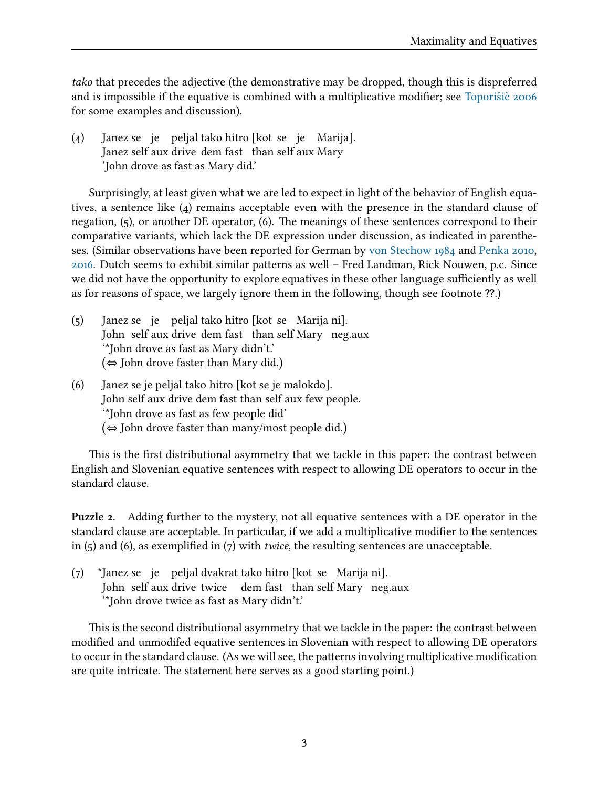tako that precedes the adjective (the demonstrative may be dropped, though this is dispreferred and is impossible if the equative is combined with a multiplicative modifier; see Toporisic [2006](#page-27-1) for some examples and discussion).

(4) Janez se je peljal tako hitro [kot se je Marija]. Janez self aux drive dem fast than self aux Mary 'John drove as fast as Mary did.'

Surprisingly, at least given what we are led to expect in light of the behavior of English equatives, a sentence like (4) remains acceptable even with the presence in the standard clause of negation,  $(5)$ , or another DE operator,  $(6)$ . The meanings of these sentences correspond to their comparative variants, which lack the DE expression under discussion, as indicated in parentheses. (Similar observations have been reported for German by [von Stechow](#page-27-0) [1984](#page-27-0) and [Penka](#page-26-4) [2010,](#page-26-4) [2016.](#page-26-5) Dutch seems to exhibit similar patterns as well - Fred Landman, Rick Nouwen, p.c. Since we did not have the opportunity to explore equatives in these other language sufficiently as well as for reasons of space, we largely ignore them in the following, though see footnote ??.)

- (5) Janez se je peljal tako hitro [kot se Marija ni]. John self aux drive dem fast than self Mary neg.aux '\*John drove as fast as Mary didn't.'  $($  ⇔ John drove faster than Mary did.)
- (6) Janez se je peljal tako hitro [kot se je malokdo]. John self aux drive dem fast than self aux few people. '\*John drove as fast as few people did' ( $\Leftrightarrow$  John drove faster than many/most people did.)

This is the first distributional asymmetry that we tackle in this paper: the contrast between English and Slovenian equative sentences with respect to allowing DE operators to occur in the standard clause.

Puzzle 2. Adding further to the mystery, not all equative sentences with a DE operator in the standard clause are acceptable. In particular, if we add a multiplicative modifier to the sentences in (5) and (6), as exemplified in (7) with *twice*, the resulting sentences are unacceptable.

(7) \*Janez se je peljal dvakrat tako hitro [kot se Marija ni]. John self aux drive twice dem fast than self Mary neg.aux '\*John drove twice as fast as Mary didn't.'

This is the second distributional asymmetry that we tackle in the paper: the contrast between modified and unmodifed equative sentences in Slovenian with respect to allowing DE operators to occur in the standard clause. (As we will see, the patterns involving multiplicative modification are quite intricate. The statement here serves as a good starting point.)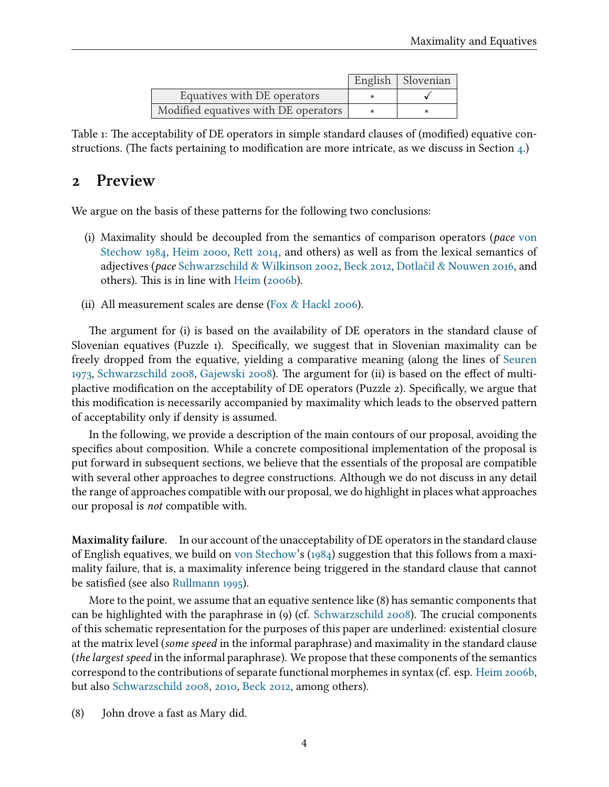|                                      | English Slovenian |
|--------------------------------------|-------------------|
| Equatives with DE operators          |                   |
| Modified equatives with DE operators |                   |

Table 1: The acceptability of DE operators in simple standard clauses of (modified) equative constructions. (The facts pertaining to modification are more intricate, as we discuss in Section  $_4$ .)

#### <span id="page-3-0"></span>2 Preview

We argue on the basis of these patterns for the following two conclusions:

- (i) Maximality should be decoupled from the semantics of comparison operators (pace [von](#page-27-0) [Stechow](#page-27-0) [1984,](#page-27-0) [Heim](#page-25-6) [2000,](#page-25-6) [Re](#page-26-6)tt [2014,](#page-26-6) and others) as well as from the lexical semantics of adjectives (*pace* [Schwarzschild & Wilkinson](#page-26-1) [2002,](#page-26-1) [Beck](#page-25-7) [2012,](#page-25-7) Dotlačil & Nouwen [2016,](#page-25-8) and others). This is in line with  $Heim$  [\(2006b\)](#page-25-0).
- (ii) All measurement scales are dense (Fox  $\&$  Hackl [2006\)](#page-25-1).

The argument for (i) is based on the availability of DE operators in the standard clause of Slovenian equatives (Puzzle 1). Specifically, we suggest that in Slovenian maximality can be freely dropped from the equative, yielding a comparative meaning (along the lines of [Seuren](#page-26-7) [1973,](#page-26-7) [Schwarzschild](#page-26-8) [2008,](#page-26-8) [Gajewski](#page-25-2) [2008\)](#page-25-2). The argument for (ii) is based on the effect of multiplactive modification on the acceptability of DE operators (Puzzle 2). Specifically, we argue that this modification is necessarily accompanied by maximality which leads to the observed pattern of acceptability only if density is assumed.

In the following, we provide a description of the main contours of our proposal, avoiding the specifics about composition. While a concrete compositional implementation of the proposal is put forward in subsequent sections, we believe that the essentials of the proposal are compatible with several other approaches to degree constructions. Although we do not discuss in any detail the range of approaches compatible with our proposal, we do highlight in places what approaches our proposal is not compatible with.

Maximality failure. In our account of the unacceptability of DE operators in the standard clause of English equatives, we build on [von Stechow'](#page-27-0)s [\(1984\)](#page-27-0) suggestion that this follows from a maximality failure, that is, a maximality inference being triggered in the standard clause that cannot be satisfied (see also [Rullmann](#page-26-0) [1995\)](#page-26-0).

More to the point, we assume that an equative sentence like (8) has semantic components that can be highlighted with the paraphrase in  $\left(9\right)$  (cf. [Schwarzschild](#page-26-8) [2008\)](#page-26-8). The crucial components of this schematic representation for the purposes of this paper are underlined: existential closure at the matrix level (some speed in the informal paraphrase) and maximality in the standard clause (the largest speed in the informal paraphrase). We propose that these components of the semantics correspond to the contributions of separate functional morphemes in syntax (cf. esp. [Heim](#page-25-0) [2006b,](#page-25-0) but also [Schwarzschild](#page-26-8) [2008,](#page-26-8) [2010,](#page-26-9) [Beck](#page-25-7) [2012,](#page-25-7) among others).

(8) John drove a fast as Mary did.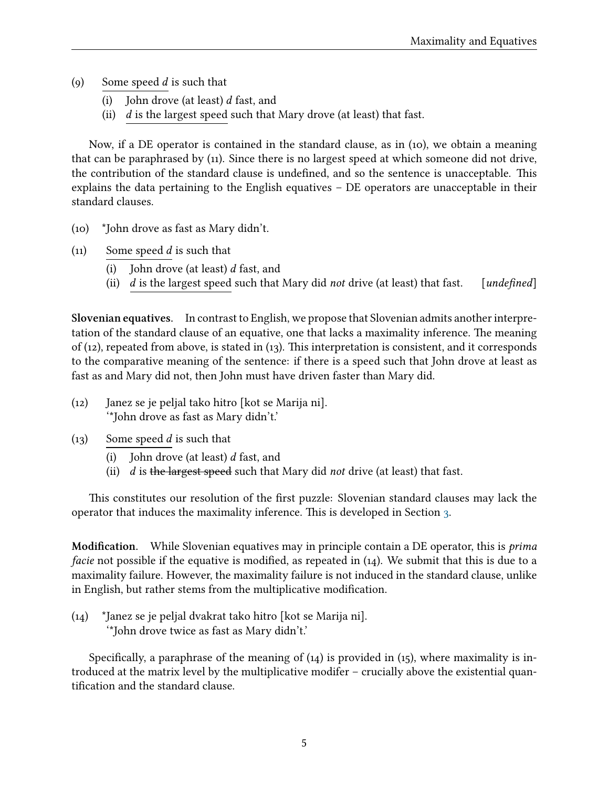- (9) Some speed *d* is such that<br>(i) John drove (at least) *d* 
	- John drove (at least)  $d$  fast, and
	- (ii)  $d$  is the largest speed such that Mary drove (at least) that fast.

Now, if a DE operator is contained in the standard clause, as in (10), we obtain a meaning that can be paraphrased by (11). Since there is no largest speed at which someone did not drive, the contribution of the standard clause is undefined, and so the sentence is unacceptable. This explains the data pertaining to the English equatives – DE operators are unacceptable in their standard clauses.

- (10) \*John drove as fast as Mary didn't.
- (11) Some speed *d* is such that<br>(i) John drove (at least)
	- John drove (at least)  $d$  fast, and
	- (ii)  $d$  is the largest speed such that Mary did not drive (at least) that fast. [undefined]

Slovenian equatives. In contrast to English, we propose that Slovenian admits another interpretation of the standard clause of an equative, one that lacks a maximality inference. The meaning of  $(12)$ , repeated from above, is stated in  $(13)$ . This interpretation is consistent, and it corresponds to the comparative meaning of the sentence: if there is a speed such that John drove at least as fast as and Mary did not, then John must have driven faster than Mary did.

- (12) Janez se je peljal tako hitro [kot se Marija ni]. '\*John drove as fast as Mary didn't.'
- (13) Some speed *d* is such that<br>(i) John drove (at least) *d* 
	- John drove (at least)  $d$  fast, and
	- (ii)  $d$  is the largest speed such that Mary did not drive (at least) that fast.

This constitutes our resolution of the first puzzle: Slovenian standard clauses may lack the operator that induces the maximality inference. This is developed in Section [3.](#page-5-0)

**Modification.** While Slovenian equatives may in principle contain a DE operator, this is *prima facie* not possible if the equative is modified, as repeated in  $(14)$ . We submit that this is due to a maximality failure. However, the maximality failure is not induced in the standard clause, unlike in English, but rather stems from the multiplicative modification.

(14) \*Janez se je peljal dvakrat tako hitro [kot se Marija ni]. '\*John drove twice as fast as Mary didn't.'

<span id="page-4-0"></span>Specifically, a paraphrase of the meaning of  $(14)$  is provided in  $(15)$ , where maximality is introduced at the matrix level by the multiplicative modifer – crucially above the existential quantification and the standard clause.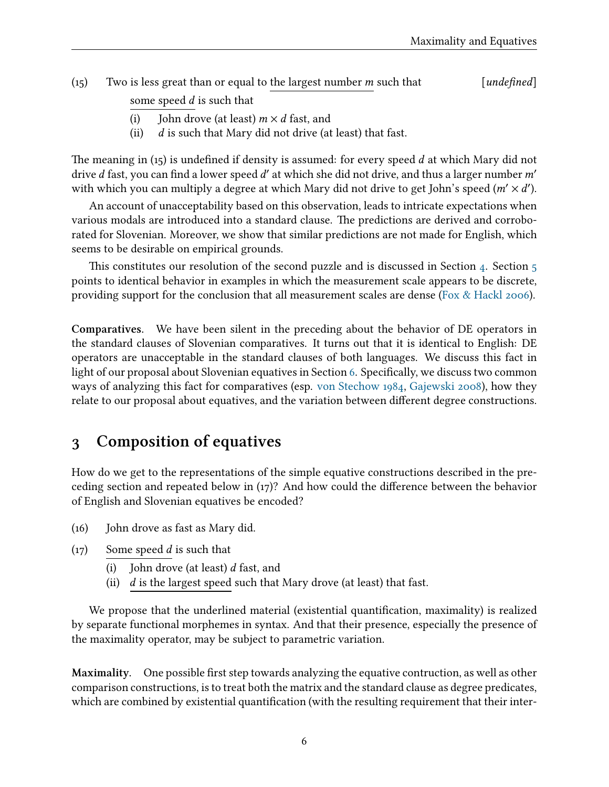# (15) Two is less great than or equal to the largest number m such that  $[undefined]$

- some speed  $\frac{d}{dt}$  is such that<br>(i) John drove (at least)
- (i) John drove (at least)  $m \times d$  fast, and<br>(ii) d is such that Mary did not drive (at  $d$  is such that Mary did not drive (at least) that fast.

The meaning in  $(15)$  is undefined if density is assumed: for every speed d at which Mary did not drive *d* fast, you can find a lower speed *d'* at which she did not drive, and thus a larger number *m'*<br>with which you can multiply a degree at which Mary did not drive to get John's speed (*m'*  $\times$  *d'*) with which you can multiply a degree at which Mary did not drive to get John's speed  $(m' \times d')$ .

An account of unacceptability based on this observation, leads to intricate expectations when various modals are introduced into a standard clause. The predictions are derived and corroborated for Slovenian. Moreover, we show that similar predictions are not made for English, which seems to be desirable on empirical grounds.

This constitutes our resolution of the second puzzle and is discussed in Section [4.](#page-9-0) Section  $5$ points to identical behavior in examples in which the measurement scale appears to be discrete, providing support for the conclusion that all measurement scales are dense [\(Fox & Hackl](#page-25-1) [2006\)](#page-25-1).

Comparatives. We have been silent in the preceding about the behavior of DE operators in the standard clauses of Slovenian comparatives. It turns out that it is identical to English: DE operators are unacceptable in the standard clauses of both languages. We discuss this fact in light of our proposal about Slovenian equatives in Section [6.](#page-18-0) Specifically, we discuss two common ways of analyzing this fact for comparatives (esp. [von Stechow](#page-27-0) [1984,](#page-27-0) [Gajewski](#page-25-2) [2008\)](#page-25-2), how they relate to our proposal about equatives, and the variation between different degree constructions.

#### <span id="page-5-0"></span>3 Composition of equatives

How do we get to the representations of the simple equative constructions described in the preceding section and repeated below in  $(17)$ ? And how could the difference between the behavior of English and Slovenian equatives be encoded?

- <span id="page-5-1"></span>(16) John drove as fast as Mary did.
- (17) Some speed *d* is such that<br>(i) John drove (at least)
	- John drove (at least)  $d$  fast, and
	- (ii)  $d$  is the largest speed such that Mary drove (at least) that fast.

We propose that the underlined material (existential quantification, maximality) is realized by separate functional morphemes in syntax. And that their presence, especially the presence of the maximality operator, may be subject to parametric variation.

Maximality. One possible first step towards analyzing the equative contruction, as well as other comparison constructions, is to treat both the matrix and the standard clause as degree predicates, which are combined by existential quantification (with the resulting requirement that their inter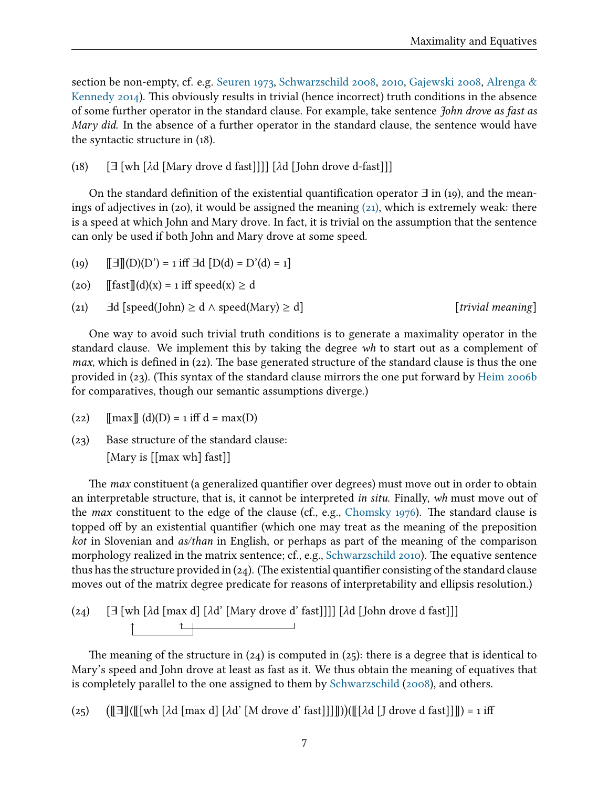section be non-empty, cf. e.g. [Seuren](#page-26-7) [1973,](#page-26-7) [Schwarzschild](#page-26-8) [2008,](#page-26-8) [2010,](#page-26-9) [Gajewski](#page-25-2) [2008,](#page-25-2) [Alrenga &](#page-25-9) [Kennedy](#page-25-9) [2014\)](#page-25-9). This obviously results in trivial (hence incorrect) truth conditions in the absence of some further operator in the standard clause. For example, take sentence John drove as fast as Mary did. In the absence of a further operator in the standard clause, the sentence would have the syntactic structure in (18).

(18) [<sup>∃</sup> [wh [λd [Mary drove d fast]]]] [λd [John drove d-fast]]]

On the standard definition of the existential quantification operator  $\exists$  in (19), and the meanings of adjectives in (20), it would be assigned the meaning [\(21\),](#page-6-0) which is extremely weak: there is a speed at which John and Mary drove. In fact, it is trivial on the assumption that the sentence can only be used if both John and Mary drove at some speed.

- <span id="page-6-1"></span>(19)  $[\exists] (D)(D') = 1 \text{ iff } \exists d [D(d) = D'(d) = 1]$
- <span id="page-6-0"></span>(20)  $\int [fast](d)(x) = 1$  iff speed(x)  $\geq d$
- (21)  $\exists d$  [speed(John)  $\ge d \land$  speed(Mary)  $\ge d$ ] [trivial meaning]

One way to avoid such trivial truth conditions is to generate a maximality operator in the standard clause. We implement this by taking the degree wh to start out as a complement of *max*, which is defined in (22). The base generated structure of the standard clause is thus the one provided in (23). (This syntax of the standard clause mirrors the one put forward by [Heim](#page-25-0) [2006b](#page-25-0) for comparatives, though our semantic assumptions diverge.)

- (22)  $\[\text{max}\]$  (d)(D) = 1 iff d = max(D)
- (23) Base structure of the standard clause: [Mary is [[max wh] fast]]

The *max* constituent (a generalized quantifier over degrees) must move out in order to obtain an interpretable structure, that is, it cannot be interpreted in situ. Finally, wh must move out of the *max* constituent to the edge of the clause (cf., e.g., [Chomsky](#page-25-10) [1976\)](#page-25-10). The standard clause is topped off by an existential quantifier (which one may treat as the meaning of the preposition kot in Slovenian and as/than in English, or perhaps as part of the meaning of the comparison morphology realized in the matrix sentence; cf., e.g., [Schwarzschild](#page-26-9) [2010\)](#page-26-9). The equative sentence thus has the structure provided in  $(24)$ . (The existential quantifier consisting of the standard clause moves out of the matrix degree predicate for reasons of interpretability and ellipsis resolution.)

<span id="page-6-2"></span>
$$
(24) \quad \boxed{\exists \text{ [wh [Ad [max d] [Ad' [Mary drove d' fast]]]]} \quad \boxed{\text{Ad [John drove d fast]]}]}}
$$

The meaning of the structure in  $(24)$  is computed in  $(25)$ : there is a degree that is identical to Mary's speed and John drove at least as fast as it. We thus obtain the meaning of equatives that is completely parallel to the one assigned to them by [Schwarzschild](#page-26-8) [\(2008\)](#page-26-8), and others.

 $(25)$  $\llbracket \exists \rrbracket (\llbracket [wh [λd [max d] [λd' [M drove d' fast]]]]))([\llbracket λd [J drove d fast]]]]) = 1 iff$ j.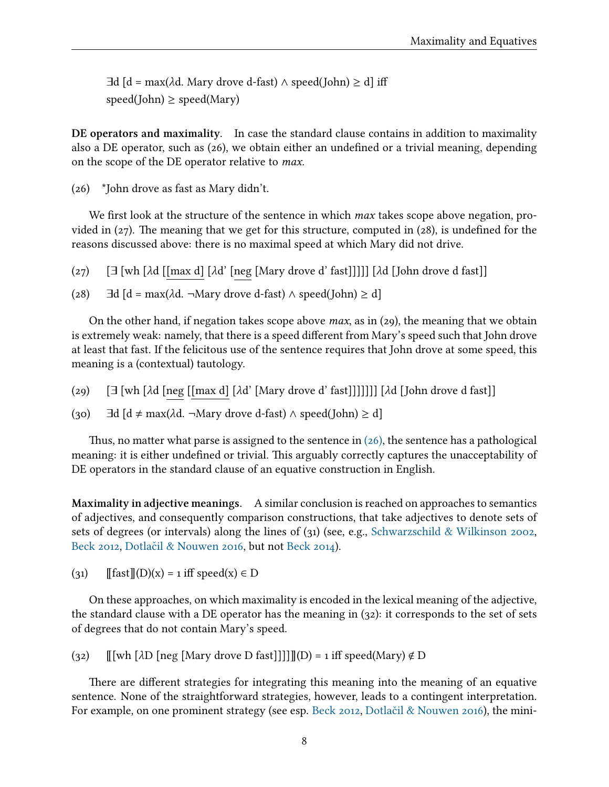$\exists d \, [d = \max(\lambda d. \text{ Mary drove } d\text{-fast}) \wedge \text{speed(John)} \geq d] \text{ iff }$  $speed(John) \geq speed(Mary)$ 

DE operators and maximality. In case the standard clause contains in addition to maximality also a DE operator, such as  $(26)$ , we obtain either an undefined or a trivial meaning, depending on the scope of the DE operator relative to max.

<span id="page-7-0"></span>(26) \*John drove as fast as Mary didn't.

We first look at the structure of the sentence in which *max* takes scope above negation, provided in  $(27)$ . The meaning that we get for this structure, computed in  $(28)$ , is undefined for the reasons discussed above: there is no maximal speed at which Mary did not drive.

(27) [<sup>∃</sup> [wh [λd [[max d] [λd' [neg [Mary drove d' fast]]]]] [λd [John drove d fast]]

(28) <sup>∃</sup>d [d = max(λd. <sup>¬</sup>Mary drove d-fast) <sup>∧</sup> speed(John) <sup>≥</sup> d]

On the other hand, if negation takes scope above *max*, as in (29), the meaning that we obtain is extremely weak: namely, that there is a speed different from Mary's speed such that John drove at least that fast. If the felicitous use of the sentence requires that John drove at some speed, this meaning is a (contextual) tautology.

(29) [<sup>∃</sup> [wh [λd [neg [[max d] [λd' [Mary drove d' fast]]]]]]] [λd [John drove d fast]]

(30)  $\exists d \, [d \neq \max(\lambda d. \, \neg \text{Mary} \, \text{drove} \, \text{d-fast}) \land \text{speed}(\text{John}) \geq d]$ 

Thus, no matter what parse is assigned to the sentence in  $(26)$ , the sentence has a pathological meaning: it is either undefined or trivial. This arguably correctly captures the unacceptability of DE operators in the standard clause of an equative construction in English.

Maximality in adjective meanings. A similar conclusion is reached on approaches to semantics of adjectives, and consequently comparison constructions, that take adjectives to denote sets of sets of degrees (or intervals) along the lines of (31) (see, e.g., [Schwarzschild & Wilkinson](#page-26-1) [2002,](#page-26-1) [Beck](#page-25-11) [2012,](#page-25-7) Dotlačil & Nouwen [2016,](#page-25-8) but not Beck [2014\)](#page-25-11).

<span id="page-7-1"></span>(31)  $[\text{fast}](D)(x) = 1 \text{ iff speed}(x) \in D$ 

On these approaches, on which maximality is encoded in the lexical meaning of the adjective, the standard clause with a DE operator has the meaning in (32): it corresponds to the set of sets of degrees that do not contain Mary's speed.

(32)  $[[\nabla \cdot \mathbf{A} \cdot \mathbf{B}] \cdot \mathbf{A}] \cdot \mathbf{A} = \mathbf{A} \cdot \mathbf{A} + \mathbf{B} \cdot \mathbf{A} + \mathbf{B} \cdot \mathbf{A} + \mathbf{B} \cdot \mathbf{A} + \mathbf{B} \cdot \mathbf{A}]$ 

There are different strategies for integrating this meaning into the meaning of an equative sentence. None of the straightforward strategies, however, leads to a contingent interpretation. For example, on one prominent strategy (see esp. [Beck](#page-25-7) [2012,](#page-25-7) Dotlačil & Nouwen [2016\)](#page-25-8), the mini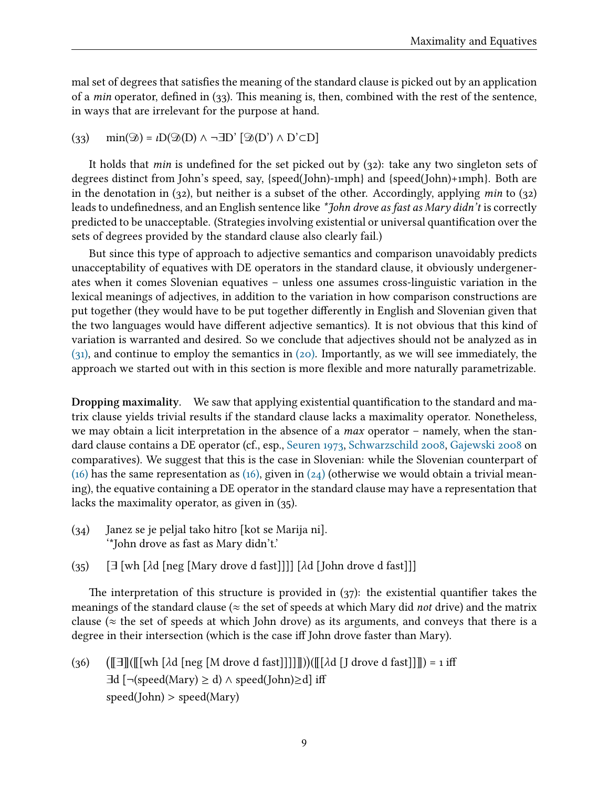mal set of degrees that satisfies the meaning of the standard clause is picked out by an application of a *min* operator, defined in  $(33)$ . This meaning is, then, combined with the rest of the sentence, in ways that are irrelevant for the purpose at hand.

(33)  $\text{min}(\mathcal{D}) = \iota D(\mathcal{D}(D) \land \neg \exists D' [\mathcal{D}(D') \land D'CD]$ 

It holds that *min* is undefined for the set picked out by  $(32)$ : take any two singleton sets of degrees distinct from John's speed, say, {speed(John)-1mph} and {speed(John)+1mph}. Both are in the denotation in (32), but neither is a subset of the other. Accordingly, applying min to (32) leads to undefinedness, and an English sentence like \*John drove as fast as Mary didn't is correctly predicted to be unacceptable. (Strategies involving existential or universal quantification over the sets of degrees provided by the standard clause also clearly fail.)

But since this type of approach to adjective semantics and comparison unavoidably predicts unacceptability of equatives with DE operators in the standard clause, it obviously undergenerates when it comes Slovenian equatives – unless one assumes cross-linguistic variation in the lexical meanings of adjectives, in addition to the variation in how comparison constructions are put together (they would have to be put together differently in English and Slovenian given that the two languages would have different adjective semantics). It is not obvious that this kind of variation is warranted and desired. So we conclude that adjectives should not be analyzed as in [\(31\),](#page-7-1) and continue to employ the semantics in [\(20\).](#page-6-1) Importantly, as we will see immediately, the approach we started out with in this section is more flexible and more naturally parametrizable.

Dropping maximality. We saw that applying existential quantification to the standard and matrix clause yields trivial results if the standard clause lacks a maximality operator. Nonetheless, we may obtain a licit interpretation in the absence of a *max* operator – namely, when the standard clause contains a DE operator (cf., esp., [Seuren](#page-26-7) [1973,](#page-26-7) [Schwarzschild](#page-26-8) [2008,](#page-26-8) [Gajewski](#page-25-2) [2008](#page-25-2) on comparatives). We suggest that this is the case in Slovenian: while the Slovenian counterpart of  $(16)$  has the same representation as  $(16)$ , given in  $(24)$  (otherwise we would obtain a trivial meaning), the equative containing a DE operator in the standard clause may have a representation that lacks the maximality operator, as given in (35).

- (34) Janez se je peljal tako hitro [kot se Marija ni]. '\*John drove as fast as Mary didn't.'
- <span id="page-8-0"></span>(35)  $\exists$  [wh [ $\lambda$ d [neg [Mary drove d fast]]] [ $\lambda$ d [John drove d fast]]]

The interpretation of this structure is provided in  $(37)$ : the existential quantifier takes the meanings of the standard clause ( $\approx$  the set of speeds at which Mary did *not* drive) and the matrix clause ( $\approx$  the set of speeds at which John drove) as its arguments, and conveys that there is a degree in their intersection (which is the case iff John drove faster than Mary).

(36)  $\llbracket \exists \rrbracket (\llbracket [\text{wh } [\lambda \text{d} [\text{neg } [\text{M} \text{ drove d } \text{fast}]]]] \rrbracket)$ j.  $([[[\lambda d [[J drove d fast]]]]) = 1 iff$  $\exists d \; [\neg(\text{speed}(Mary) \geq d) \land \text{speed}(John) \geq d] \text{ iff}$  $speed(John) > speed(Mary)$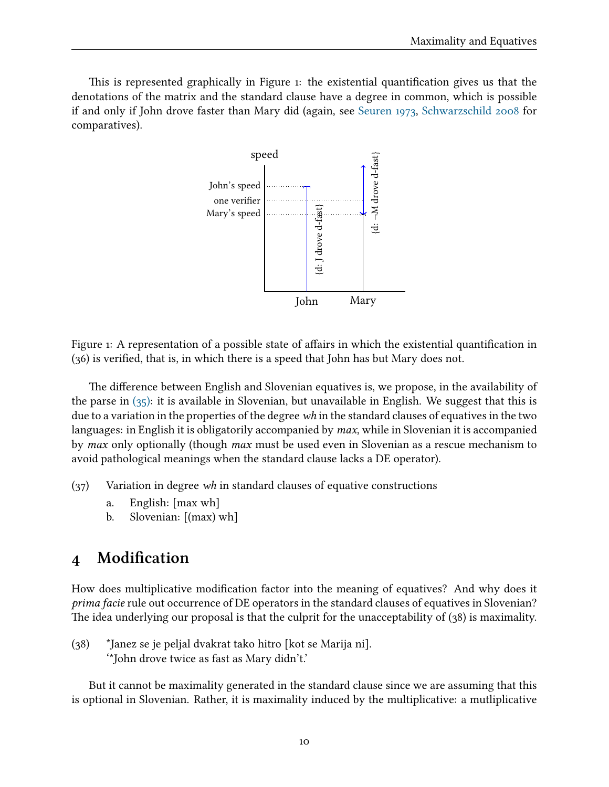This is represented graphically in Figure 1: the existential quantification gives us that the denotations of the matrix and the standard clause have a degree in common, which is possible if and only if John drove faster than Mary did (again, see [Seuren](#page-26-7) [1973,](#page-26-7) [Schwarzschild](#page-26-8) [2008](#page-26-8) for comparatives).



Figure 1: A representation of a possible state of affairs in which the existential quantification in  $(36)$  is verified, that is, in which there is a speed that John has but Mary does not.

The difference between English and Slovenian equatives is, we propose, in the availability of the parse in  $(35)$ : it is available in Slovenian, but unavailable in English. We suggest that this is due to a variation in the properties of the degree  $wh$  in the standard clauses of equatives in the two languages: in English it is obligatorily accompanied by *max*, while in Slovenian it is accompanied by *max* only optionally (though *max* must be used even in Slovenian as a rescue mechanism to avoid pathological meanings when the standard clause lacks a DE operator).

- (37) Variation in degree wh in standard clauses of equative constructions
	- a. English: [max wh]
	- b. Slovenian: [(max) wh]

#### <span id="page-9-0"></span>4 Modification

How does multiplicative modification factor into the meaning of equatives? And why does it prima facie rule out occurrence of DE operators in the standard clauses of equatives in Slovenian? The idea underlying our proposal is that the culprit for the unacceptability of  $(38)$  is maximality.

<span id="page-9-1"></span>(38) \*Janez se je peljal dvakrat tako hitro [kot se Marija ni]. '\*John drove twice as fast as Mary didn't.'

But it cannot be maximality generated in the standard clause since we are assuming that this is optional in Slovenian. Rather, it is maximality induced by the multiplicative: a mutliplicative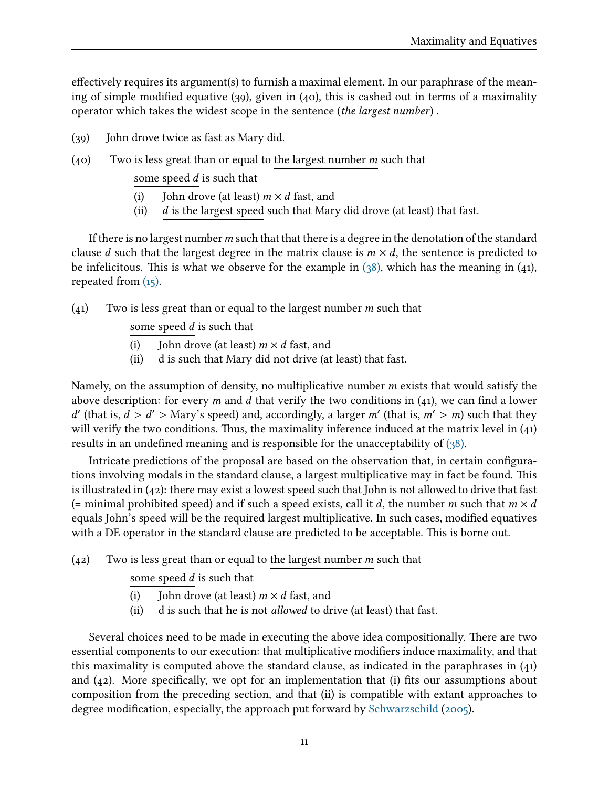effectively requires its argument(s) to furnish a maximal element. In our paraphrase of the meaning of simple modified equative (39), given in (40), this is cashed out in terms of a maximality operator which takes the widest scope in the sentence (the largest number) .

- (39) John drove twice as fast as Mary did.
- $(40)$  Two is less great than or equal to the largest number *m* such that

- some speed  $d$  is such that<br>(i) John drove (at least) (i) John drove (at least)  $m \times d$  fast, and<br>(ii) *d* is the largest speed such that Marv
- $d$  is the largest speed such that Mary did drove (at least) that fast.

If there is no largest number  $m$  such that that there is a degree in the denotation of the standard clause d such that the largest degree in the matrix clause is  $m \times d$ , the sentence is predicted to be infelicitous. This is what we observe for the example in  $(38)$ , which has the meaning in (41), repeated from  $(15)$ .

#### $(41)$  Two is less great than or equal to the largest number *m* such that

some speed  $d$  is such that<br>(i) John drove (at least)

- (i) John drove (at least)  $m \times d$  fast, and<br>(ii) d is such that Marv did not drive (at
- d is such that Mary did not drive (at least) that fast.

Namely, on the assumption of density, no multiplicative number m exists that would satisfy the above description: for every m and d that verify the two conditions in  $(41)$ , we can find a lower will verify the two conditions. Thus, the maximality inference induced at the matrix level in  $(41)$ (that is,  $d > d'$  > Mary's speed) and, accordingly, a larger m' (that is,  $m' > m$ ) such that they vill verify the two conditions. Thus, the maximality inference induced at the matrix level in (41) results in an undefined meaning and is responsible for the unacceptability of  $(38)$ .

Intricate predictions of the proposal are based on the observation that, in certain configurations involving modals in the standard clause, a largest multiplicative may in fact be found. This is illustrated in  $(42)$ : there may exist a lowest speed such that John is not allowed to drive that fast (= minimal prohibited speed) and if such a speed exists, call it d, the number m such that  $m \times d$ equals John's speed will be the required largest multiplicative. In such cases, modified equatives with a DE operator in the standard clause are predicted to be acceptable. This is borne out.

- $(42)$  Two is less great than or equal to the largest number *m* such that
	- some speed  $d$  is such that<br>(i) John drove (at least)
	- (i) John drove (at least)  $m \times d$  fast, and<br>(ii) d is such that he is not *allowed* to dr d is such that he is not *allowed* to drive (at least) that fast.

Several choices need to be made in executing the above idea compositionally. There are two essential components to our execution: that multiplicative modifiers induce maximality, and that this maximality is computed above the standard clause, as indicated in the paraphrases in (41) and  $(42)$ . More specifically, we opt for an implementation that (i) fits our assumptions about composition from the preceding section, and that (ii) is compatible with extant approaches to degree modification, especially, the approach put forward by [Schwarzschild](#page-26-10) [\(2005\)](#page-26-10).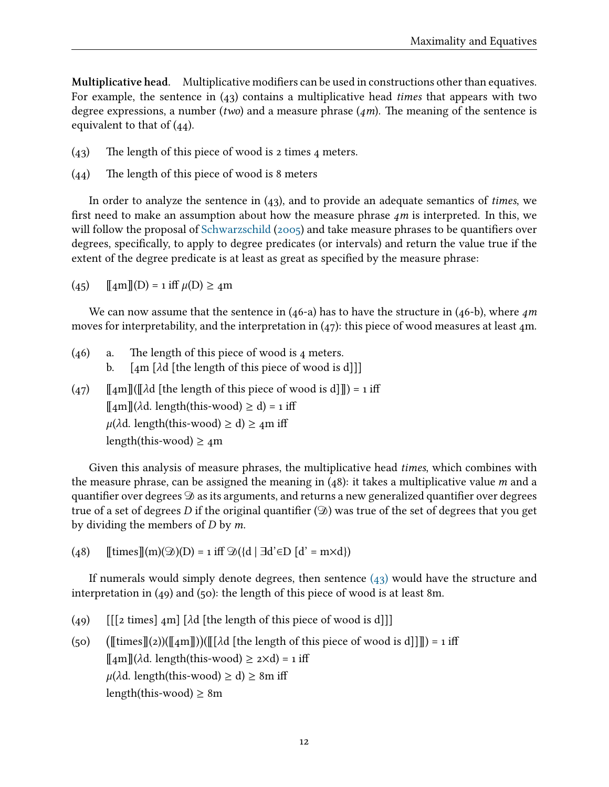Multiplicative head. Multiplicative modifiers can be used in constructions other than equatives. For example, the sentence in  $(43)$  contains a multiplicative head times that appears with two degree expressions, a number (two) and a measure phrase  $(4m)$ . The meaning of the sentence is equivalent to that of (44).

- <span id="page-11-0"></span> $(43)$  The length of this piece of wood is 2 times 4 meters.
- $(44)$  The length of this piece of wood is 8 meters

In order to analyze the sentence in  $(43)$ , and to provide an adequate semantics of *times*, we first need to make an assumption about how the measure phrase  $4m$  is interpreted. In this, we will follow the proposal of [Schwarzschild](#page-26-10) [\(2005\)](#page-26-10) and take measure phrases to be quantifiers over degrees, specifically, to apply to degree predicates (or intervals) and return the value true if the extent of the degree predicate is at least as great as specified by the measure phrase:

<span id="page-11-1"></span> $(45)$   $\[\text{m}\]$ (D) = 1 iff  $\mu$ (D)  $\geq$  4m

We can now assume that the sentence in  $(46-a)$  has to have the structure in  $(46-b)$ , where  $4m$ moves for interpretability, and the interpretation in  $(47)$ : this piece of wood measures at least 4m.

- $(46)$  a. The length of this piece of wood is 4 meters. b.  $\left[4m \right] \lambda d$  [the length of this piece of wood is d]]]
- $(47)$  [[4m]]([[λd [the length of this piece of wood is d]]) = 1 iff  $\llbracket 4m \rrbracket(\lambda d. length(this-wood) \ge d) = 1$  iff  $\mu(\lambda d.$  length(this-wood)  $\geq d$ )  $\geq$  4m iff length(this-wood)  $\geq$  4m

Given this analysis of measure phrases, the multiplicative head *times*, which combines with the measure phrase, can be assigned the meaning in  $(48)$ : it takes a multiplicative value m and a quantifier over degrees  $\mathcal D$  as its arguments, and returns a new generalized quantifier over degrees true of a set of degrees D if the original quantifier  $(\mathcal{D})$  was true of the set of degrees that you get by dividing the members of  $D$  by  $m$ .

(48)  $[\text{times}](m)(\mathcal{D})(D) = 1 \text{ iff } \mathcal{D}(\{d \mid \exists d' \in D \ [d' = m \times d\}])$ 

If numerals would simply denote degrees, then sentence  $(43)$  would have the structure and interpretation in (49) and (50): the length of this piece of wood is at least 8m.

- (49)  $\left[ \begin{bmatrix} 2 \text{ times} \\ 4 \text{ m} \end{bmatrix} \begin{bmatrix} \lambda d \\ \lambda d \end{bmatrix} \right]$  [the length of this piece of wood is d]] J
- $(50)$  $[[times]](2))([\[4m]]))([[\] \lambda d \] [the length of this piece of wood is d]]]] = 1 iff$  $\llbracket 4m \rrbracket(\lambda d. length(this-wood) \geq 2\times d) = 1$  iff  $\mu(\lambda d.$  length(this-wood)  $\geq d$ )  $\geq 8$ m iff length(this-wood)  $\geq 8m$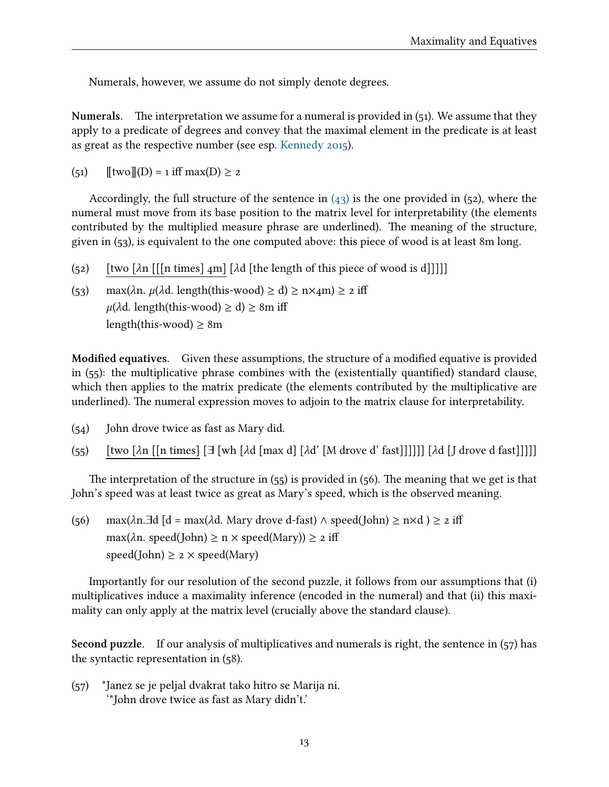Numerals, however, we assume do not simply denote degrees.

Numerals. The interpretation we assume for a numeral is provided in  $(51)$ . We assume that they apply to a predicate of degrees and convey that the maximal element in the predicate is at least as great as the respective number (see esp. [Kennedy](#page-26-11) [2015\)](#page-26-11).

 $(51)$  [[two]](D) = 1 iff max(D)  $\geq 2$ 

Accordingly, the full structure of the sentence in  $(43)$  is the one provided in  $(52)$ , where the numeral must move from its base position to the matrix level for interpretability (the elements contributed by the multiplied measure phrase are underlined). The meaning of the structure, given in (53), is equivalent to the one computed above: this piece of wood is at least 8m long.

- (52) [two  $\lambda$ n [[[n times] 4m]  $\lambda$ d [the length of this piece of wood is d]]]]]
- (53) max( $\lambda$ n.  $\mu$ ( $\lambda$ d. length(this-wood)  $\geq$  d)  $\geq$  n $\times$ 4m)  $\geq$  2 iff  $\mu(\lambda d. \text{ length}(\text{this-wood}) \ge d) \ge 8m$  iff length(this-wood)  $\geq 8m$

Modified equatives. Given these assumptions, the structure of a modified equative is provided in  $(55)$ : the multiplicative phrase combines with the (existentially quantified) standard clause, which then applies to the matrix predicate (the elements contributed by the multiplicative are underlined). The numeral expression moves to adjoin to the matrix clause for interpretability.

- (54) John drove twice as fast as Mary did.
- (55) [two [λn [[n times] [<sup>∃</sup> [wh [λd [max d] [λd' [M drove d' fast]]]]]] [λd [J drove d fast]]]]]

The interpretation of the structure in  $(55)$  is provided in  $(56)$ . The meaning that we get is that John's speed was at least twice as great as Mary's speed, which is the observed meaning.

(56) max( $\lambda$ n.∃d [d = max( $\lambda$ d. Mary drove d-fast) ∧ speed(John) ≥ n×d) ≥ 2 iff max( $\lambda$ n. speed(John)  $\geq$  n  $\times$  speed(Mary))  $\geq$  2 iff  $speed(John) \geq 2 \times speed(Mary)$ 

Importantly for our resolution of the second puzzle, it follows from our assumptions that (i) multiplicatives induce a maximality inference (encoded in the numeral) and that (ii) this maximality can only apply at the matrix level (crucially above the standard clause).

Second puzzle. If our analysis of multiplicatives and numerals is right, the sentence in (57) has the syntactic representation in (58).

(57) \*Janez se je peljal dvakrat tako hitro se Marija ni. '\*John drove twice as fast as Mary didn't.'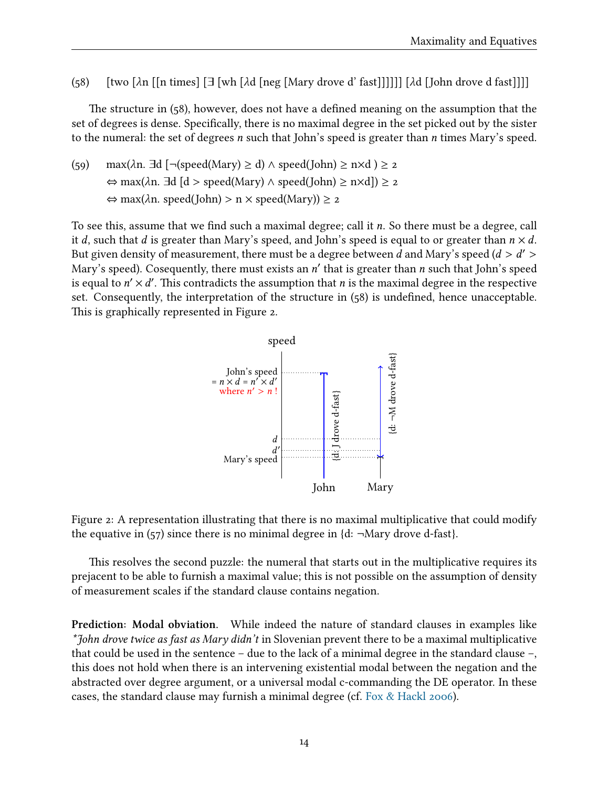(58) [two  $\lceil \ln \lceil \ln \frac{1}{\lfloor \frac{m}{s} \rfloor} \rceil$  [wh  $\lceil \frac{\lambda d}{\lfloor \frac{m}{s} \rfloor} \rceil$  [Mary drove d' fast]]]]]  $\lceil \frac{\lambda d}{\lfloor \frac{m}{s} \rfloor} \rceil$ 

The structure in  $(58)$ , however, does not have a defined meaning on the assumption that the set of degrees is dense. Specifically, there is no maximal degree in the set picked out by the sister to the numeral: the set of degrees n such that John's speed is greater than  $n$  times Mary's speed.

(59) max( $\lambda$ n. ∃d [¬(speed(Mary) ≥ d)  $\land$  speed(John) ≥ n×d) ≥ 2  $\Leftrightarrow$  max( $\lambda$ n. ∃d [d > speed(Mary)  $\land$  speed(John) ≥ n×d]) ≥ 2  $\Leftrightarrow$  max( $\lambda$ n. speed(John) > n  $\times$  speed(Mary))  $\geq$  2

To see this, assume that we find such a maximal degree; call it  $n$ . So there must be a degree, call it d, such that d is greater than Mary's speed, and John's speed is equal to or greater than  $n \times d$ . But given density of measurement, there must be a degree between  $d$  and Mary's speed  $(d > d')$ Mary's speed). Cosequently, there must exists an *n'* that is greater than *n* such that John's speed<br>is equal to  $n' \times d'$ . This contradicts the assumption that *n* is the maximal degree in the respective is equal to  $n' \times d'$ . This contradicts the assumption that *n* is the maximal degree in the respective<br>set. Consequently, the interpretation of the structure in ( $\epsilon$ 8) is undefined, hence unacceptable set. Consequently, the interpretation of the structure in  $(58)$  is undefined, hence unacceptable. This is graphically represented in Figure 2.





This resolves the second puzzle: the numeral that starts out in the multiplicative requires its prejacent to be able to furnish a maximal value; this is not possible on the assumption of density of measurement scales if the standard clause contains negation.

Prediction: Modal obviation. While indeed the nature of standard clauses in examples like  $*$ John drove twice as fast as Mary didn't in Slovenian prevent there to be a maximal multiplicative that could be used in the sentence – due to the lack of a minimal degree in the standard clause –, this does not hold when there is an intervening existential modal between the negation and the abstracted over degree argument, or a universal modal c-commanding the DE operator. In these cases, the standard clause may furnish a minimal degree (cf. [Fox & Hackl](#page-25-1) [2006\)](#page-25-1).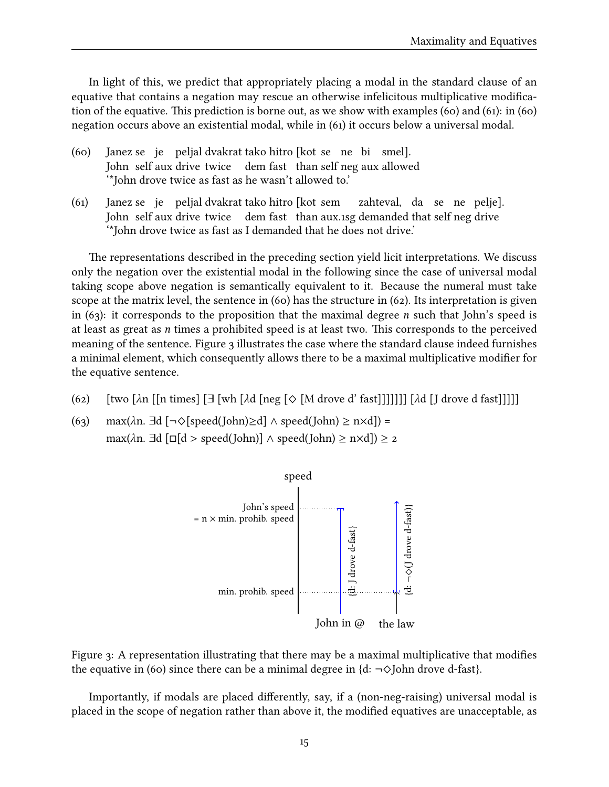In light of this, we predict that appropriately placing a modal in the standard clause of an equative that contains a negation may rescue an otherwise infelicitous multiplicative modication of the equative. This prediction is borne out, as we show with examples (60) and (61): in (60) negation occurs above an existential modal, while in (61) it occurs below a universal modal.

- (60) Janez se je peljal dvakrat tako hitro [kot se ne bi smel]. John self aux drive twice dem fast than self neg aux allowed '\*John drove twice as fast as he wasn't allowed to.'
- (61) Janez se je peljal dvakrat tako hitro [kot sem John self aux drive twice dem fast than aux.1sg demanded that self neg drive zahteval, da se ne pelje]. '\*John drove twice as fast as I demanded that he does not drive.'

e representations described in the preceding section yield licit interpretations. We discuss only the negation over the existential modal in the following since the case of universal modal taking scope above negation is semantically equivalent to it. Because the numeral must take scope at the matrix level, the sentence in (60) has the structure in (62). Its interpretation is given in  $(63)$ : it corresponds to the proposition that the maximal degree *n* such that John's speed is at least as great as  $n$  times a prohibited speed is at least two. This corresponds to the perceived meaning of the sentence. Figure 3 illustrates the case where the standard clause indeed furnishes a minimal element, which consequently allows there to be a maximal multiplicative modifier for the equative sentence.

- (62) [two  $\lambda$ n [[n times] [∃ [wh  $\lambda$ d [neg [ $\diamond$  [M drove d' fast]]]]]]] [ $\lambda$ d [J drove d fast]]]]]
- (63) max( $\lambda$ n. ∃d [¬ $\Diamond$ [speed(John)≥d]  $\land$  speed(John) ≥ n×d]) = max( $\lambda$ n. ∃d [ $\Box$ [d > speed(John)]  $\land$  speed(John)  $\geq$  n×d])  $\geq$  2





Importantly, if modals are placed differently, say, if a (non-neg-raising) universal modal is placed in the scope of negation rather than above it, the modified equatives are unacceptable, as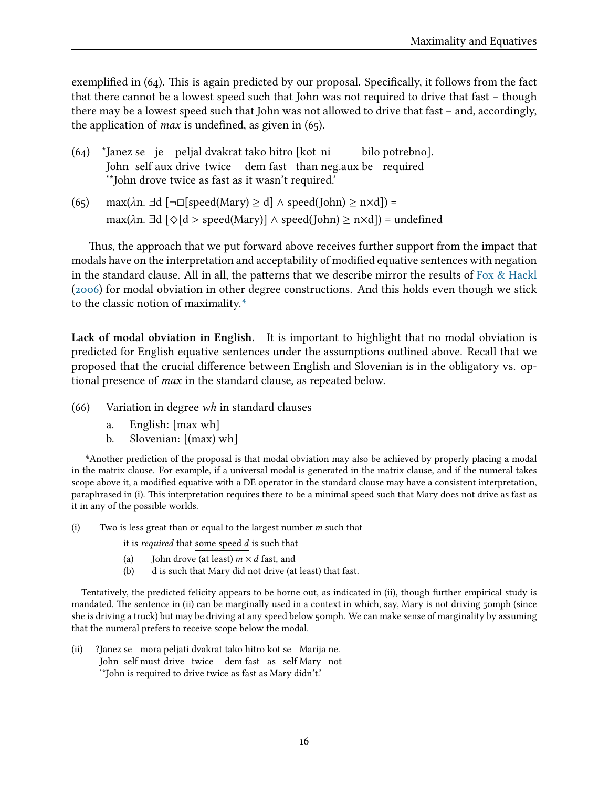exemplified in  $(64)$ . This is again predicted by our proposal. Specifically, it follows from the fact that there cannot be a lowest speed such that John was not required to drive that fast – though there may be a lowest speed such that John was not allowed to drive that fast – and, accordingly, the application of *max* is undefined, as given in  $(65)$ .

- (64) \*Janez se je peljal dvakrat tako hitro [kot ni John self aux drive twice dem fast than neg.aux be required bilo potrebno]. '\*John drove twice as fast as it wasn't required.'
- (65) max( $\lambda$ n. ∃d [¬□[speed(Mary) ≥ d]  $\land$  speed(John) ≥ n×d]) = max( $\lambda$ n. ∃d [ $\Diamond$ [d > speed(Mary)]  $\land$  speed(John) ≥ n×d]) = undefined

Thus, the approach that we put forward above receives further support from the impact that modals have on the interpretation and acceptability of modified equative sentences with negation in the standard clause. All in all, the patterns that we describe mirror the results of Fox  $\&$  Hackl [\(2006\)](#page-25-1) for modal obviation in other degree constructions[.](#page-15-0) And this holds even though we stick to the classic notion of maximality.<sup>4</sup>

Lack of modal obviation in English. It is important to highlight that no modal obviation is predicted for English equative sentences under the assumptions outlined above. Recall that we proposed that the crucial difference between English and Slovenian is in the obligatory vs. optional presence of max in the standard clause, as repeated below.

- (66) Variation in degree  $wh$  in standard clauses<br>a. English: [max wh]
	- English: [max wh]
	- b. Slovenian: [(max) wh]

<span id="page-15-0"></span>Another prediction of the proposal is that modal obviation may also be achieved by properly placing a modal in the matrix clause. For example, if a universal modal is generated in the matrix clause, and if the numeral takes scope above it, a modified equative with a DE operator in the standard clause may have a consistent interpretation, paraphrased in (i). This interpretation requires there to be a minimal speed such that Mary does not drive as fast as it in any of the possible worlds.

(i) Two is less great than or equal to the largest number  $m$  such that

it is *required* that <u>some speed *d*</u> is such that<br>(a) John drove (at least)  $m \times d$  fast, and

- (a) John drove (at least)  $m \times d$  fast, and<br>(b) d is such that Mary did not drive (at
- d is such that Mary did not drive (at least) that fast.

Tentatively, the predicted felicity appears to be borne out, as indicated in (ii), though further empirical study is mandated. The sentence in (ii) can be marginally used in a context in which, say, Mary is not driving 50mph (since she is driving a truck) but may be driving at any speed below 50mph. We can make sense of marginality by assuming that the numeral prefers to receive scope below the modal.

(ii) ?Janez se mora peljati dvakrat tako hitro kot se Marija ne. John self must drive twice dem fast as self Mary not '\*John is required to drive twice as fast as Mary didn't.'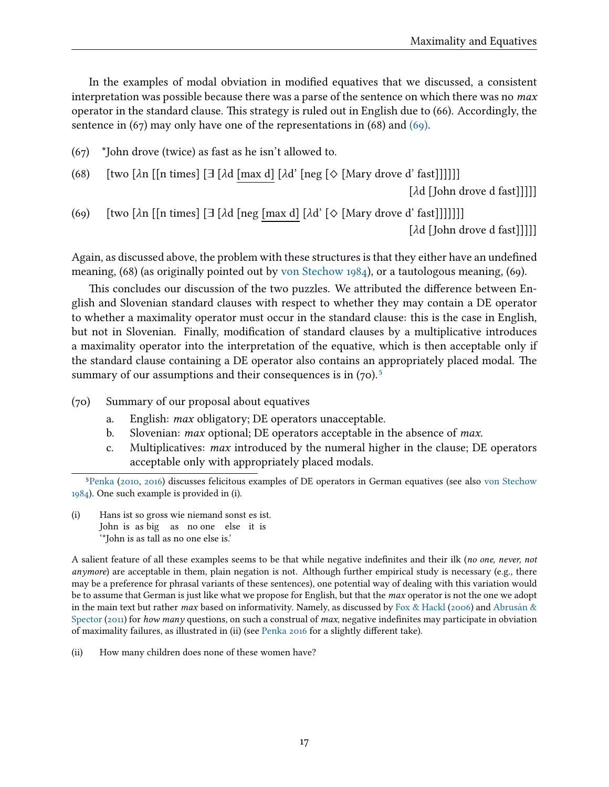In the examples of modal obviation in modified equatives that we discussed, a consistent interpretation was possible because there was a parse of the sentence on which there was no  $max$ operator in the standard clause. This strategy is ruled out in English due to (66). Accordingly, the sentence in  $(67)$  may only have one of the representations in  $(68)$  and  $(69)$ .

- (67) \*John drove (twice) as fast as he isn't allowed to.
- (68) [two  $\lambda$ n [[n times] [∃  $\lambda$ d [max d]  $\lambda$ d' [neg  $\Diamond$  [Mary drove d' fast]]]]]]

[λd [John drove d fast]]]]]

<span id="page-16-0"></span>(69) [two  $\lambda$ n [[n times] [ $\exists$  [ $\lambda$ d [neg [max d]  $\lambda$ d' [ $\diamond$  [Mary drove d' fast]]]]]]] [λd [John drove d fast]]]]]

Again, as discussed above, the problem with these structures is that they either have an undefined meaning, (68) (as originally pointed out by [von Stechow](#page-27-0) [1984\)](#page-27-0), or a tautologous meaning, (69).

This concludes our discussion of the two puzzles. We attributed the difference between English and Slovenian standard clauses with respect to whether they may contain a DE operator to whether a maximality operator must occur in the standard clause: this is the case in English, but not in Slovenian. Finally, modification of standard clauses by a multiplicative introduces a maximality operator into the interpretation of the equative, which is then acceptable only if the standard clause containing a DE operator also contains an appropriately placed modal[.](#page-16-1) The summary of our assumptions and their consequences is in  $(70)^5$ 

(70) Summary of our proposal about equatives

- a. English: max obligatory; DE operators unacceptable.
- b. Slovenian: max optional; DE operators acceptable in the absence of max.
- c. Multiplicatives: max introduced by the numeral higher in the clause; DE operators acceptable only with appropriately placed modals.

(i) Hans ist so gross wie niemand sonst es ist. John is as big as no one else it is '\*John is as tall as no one else is.'

A salient feature of all these examples seems to be that while negative indefinites and their ilk (no one, never, not anymore) are acceptable in them, plain negation is not. Although further empirical study is necessary (e.g., there may be a preference for phrasal variants of these sentences), one potential way of dealing with this variation would be to assume that German is just like what we propose for English, but that the *max* operator is not the one we adopt in the main text but rather max based on informativity. Namely, as discussed by [Fox & Hackl](#page-25-1) [\(2006\)](#page-25-1) and Abrusán & [Spector](#page-25-12) [\(2011\)](#page-25-12) for how many questions, on such a construal of max, negative indefinites may participate in obviation of maximality failures, as illustrated in (ii) (see [Penka](#page-26-5) [2016](#page-26-5) for a slightly different take).

(ii) How many children does none of these women have?

<span id="page-16-1"></span>[Penka](#page-26-4) [\(2010,](#page-26-4) [2016\)](#page-26-5) discusses felicitous examples of DE operators in German equatives (see also [von Stechow](#page-27-0) [1984\)](#page-27-0). One such example is provided in (i).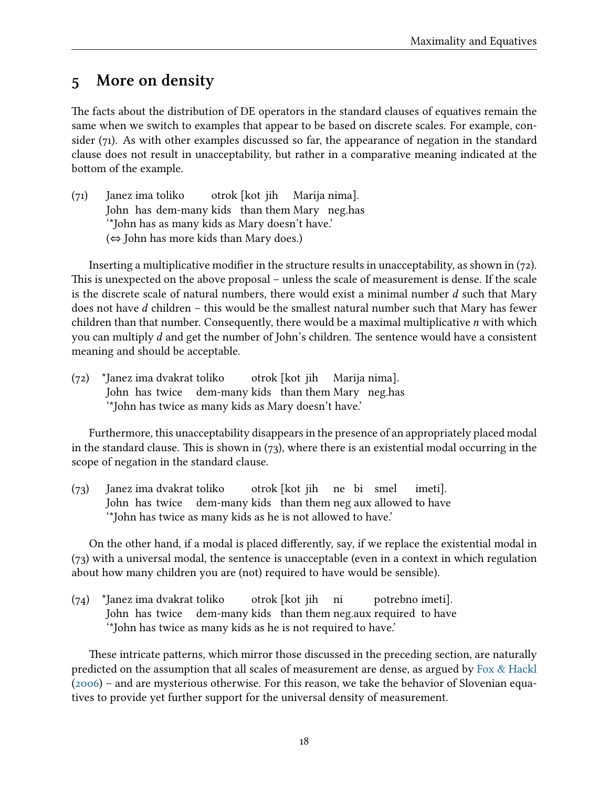#### <span id="page-17-0"></span>5 More on density

The facts about the distribution of DE operators in the standard clauses of equatives remain the same when we switch to examples that appear to be based on discrete scales. For example, consider (71). As with other examples discussed so far, the appearance of negation in the standard clause does not result in unacceptability, but rather in a comparative meaning indicated at the bottom of the example.

(71) Janez ima toliko John has dem-many kids than them Mary neg.has otrok [kot jih Marija nima]. '\*John has as many kids as Mary doesn't have.' (⇔ John has more kids than Mary does.)

Inserting a multiplicative modifier in the structure results in unacceptability, as shown in  $(72)$ . This is unexpected on the above proposal – unless the scale of measurement is dense. If the scale is the discrete scale of natural numbers, there would exist a minimal number  $d$  such that Mary does not have  $d$  children – this would be the smallest natural number such that Mary has fewer children than that number. Consequently, there would be a maximal multiplicative  $n$  with which you can multiply  $d$  and get the number of John's children. The sentence would have a consistent meaning and should be acceptable.

(72) \*Janez ima dvakrat toliko John has twice dem-many kids than them Mary neg.has otrok [kot jih Marija nima]. '\*John has twice as many kids as Mary doesn't have.'

Furthermore, this unacceptability disappears in the presence of an appropriately placed modal in the standard clause. This is shown in  $(73)$ , where there is an existential modal occurring in the scope of negation in the standard clause.

(73) Janez ima dvakrat toliko John has twice dem-many kids than them neg aux allowed to have otrok [kot jih ne bi smel imeti]. '\*John has twice as many kids as he is not allowed to have.'

On the other hand, if a modal is placed differently, say, if we replace the existential modal in (73) with a universal modal, the sentence is unacceptable (even in a context in which regulation about how many children you are (not) required to have would be sensible).

(74) \*Janez ima dvakrat toliko John has twice dem-many kids than them neg.aux required to have otrok [kot jih ni potrebno imeti]. '\*John has twice as many kids as he is not required to have.'

These intricate patterns, which mirror those discussed in the preceding section, are naturally predicted on the assumption that all scales of measurement are dense, as argued by [Fox & Hackl](#page-25-1) [\(2006\)](#page-25-1) – and are mysterious otherwise. For this reason, we take the behavior of Slovenian equatives to provide yet further support for the universal density of measurement.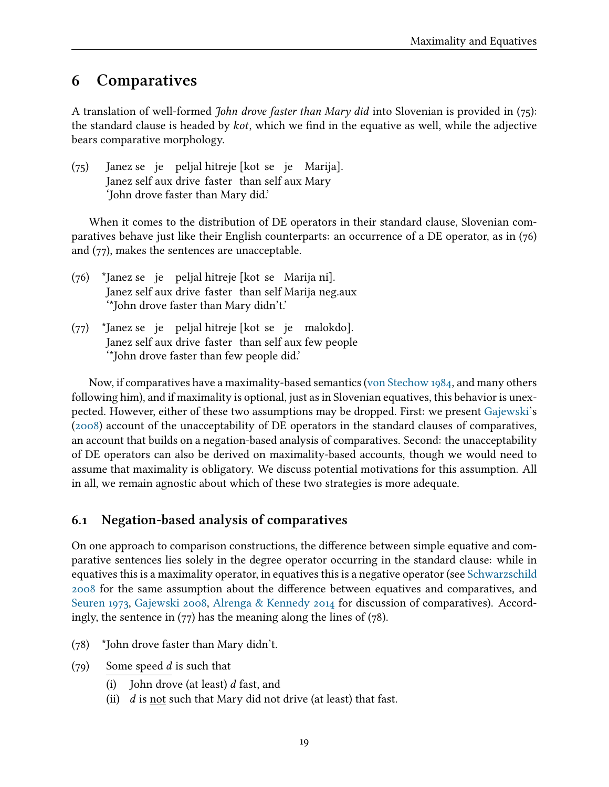#### <span id="page-18-0"></span>6 Comparatives

A translation of well-formed John drove faster than Mary did into Slovenian is provided in (75): the standard clause is headed by  $kot$ , which we find in the equative as well, while the adjective bears comparative morphology.

(75) Janez se je peljal hitreje [kot se je Marija]. Janez self aux drive faster than self aux Mary 'John drove faster than Mary did.'

When it comes to the distribution of DE operators in their standard clause, Slovenian comparatives behave just like their English counterparts: an occurrence of a DE operator, as in (76) and (77), makes the sentences are unacceptable.

- <span id="page-18-2"></span>(76) \*Janez se je peljal hitreje [kot se Marija ni]. Janez self aux drive faster than self Marija neg.aux '\*John drove faster than Mary didn't.'
- (77) \*Janez se je peljal hitreje [kot se je malokdo]. Janez self aux drive faster than self aux few people '\*John drove faster than few people did.'

Now, if comparatives have a maximality-based semantics [\(von Stechow](#page-27-0) [1984,](#page-27-0) and many others following him), and if maximality is optional, just as in Slovenian equatives, this behavior is unexpected. However, either of these two assumptions may be dropped. First: we present [Gajewski'](#page-25-2)s [\(2008\)](#page-25-2) account of the unacceptability of DE operators in the standard clauses of comparatives, an account that builds on a negation-based analysis of comparatives. Second: the unacceptability of DE operators can also be derived on maximality-based accounts, though we would need to assume that maximality is obligatory. We discuss potential motivations for this assumption. All in all, we remain agnostic about which of these two strategies is more adequate.

#### <span id="page-18-1"></span>6.1 Negation-based analysis of comparatives

On one approach to comparison constructions, the difference between simple equative and comparative sentences lies solely in the degree operator occurring in the standard clause: while in equatives this is a maximality operator, in equatives this is a negative operator (see [Schwarzschild](#page-26-8) [2008](#page-26-8) for the same assumption about the difference between equatives and comparatives, and [Seuren](#page-26-7) [1973,](#page-26-7) [Gajewski](#page-25-2) [2008,](#page-25-2) [Alrenga & Kennedy](#page-25-9) [2014](#page-25-9) for discussion of comparatives). Accordingly, the sentence in  $(77)$  has the meaning along the lines of  $(78)$ .

- (78) \*John drove faster than Mary didn't.
- (79) Some speed  $d$  is such that
	- (i) John drove (at least)  $d$  fast, and
	- (ii)  $d$  is not such that Mary did not drive (at least) that fast.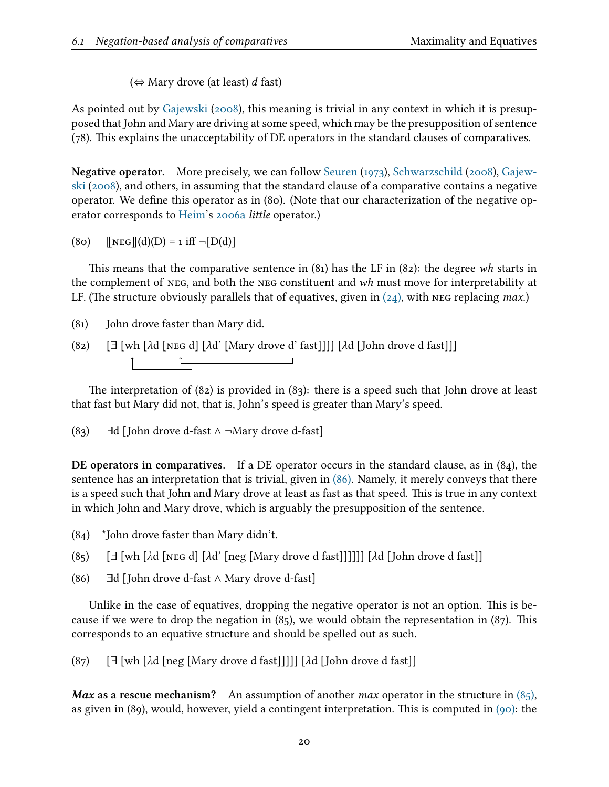$(\Leftrightarrow$  Mary drove (at least) *d* fast)

As pointed out by [Gajewski](#page-25-2) [\(2008\)](#page-25-2), this meaning is trivial in any context in which it is presupposed that John and Mary are driving at some speed, which may be the presupposition of sentence  $(78)$ . This explains the unacceptability of DE operators in the standard clauses of comparatives.

Negative operator. More precisely, we can follow [Seuren](#page-26-7) [\(1973\)](#page-26-7), [Schwarzschild](#page-26-8) [\(2008\)](#page-26-8), [Gajew](#page-25-2)[ski](#page-25-2) [\(2008\)](#page-25-2), and others, in assuming that the standard clause of a comparative contains a negative operator. We define this operator as in (80). (Note that our characterization of the negative op-erator corresponds to [Heim'](#page-25-13)s [2006a](#page-25-13) little operator.)

 $(8o)$   $[\![\text{NEG}](d)(D) = 1 \text{ iff } \neg[D(d)]\!]$ 

This means that the comparative sentence in  $(81)$  has the LF in  $(82)$ : the degree wh starts in the complement of NEG, and both the NEG constituent and wh must move for interpretability at LF. (The structure obviously parallels that of equatives, given in  $(24)$ , with neg replacing max.)

- (81) John drove faster than Mary did.
- (82)  $\left[\exists \text{ [wh } [\lambda \text{d } [\text{NEG d} ] [\lambda \text{d'} [\text{Mary} \text{ drove d'} \text{fast}]]]] \right] [\lambda \text{d } [\text{John} \text{ drove d} \text{fast}]]]$

The interpretation of  $(82)$  is provided in  $(83)$ : there is a speed such that John drove at least that fast but Mary did not, that is, John's speed is greater than Mary's speed.

(83) ∃d [John drove d-fast ∧ ¬Mary drove d-fast]

DE operators in comparatives. If a DE operator occurs in the standard clause, as in (84), the sentence has an interpretation that is trivial, given in [\(86\).](#page-19-0) Namely, it merely conveys that there is a speed such that John and Mary drove at least as fast as that speed. This is true in any context in which John and Mary drove, which is arguably the presupposition of the sentence.

<span id="page-19-1"></span>(84) \*John drove faster than Mary didn't.

<span id="page-19-0"></span>(85) [<sup>∃</sup> [wh [λd [neg d] [λd' [neg [Mary drove d fast]]]]]] [λd [John drove d fast]]

(86) ∃d [John drove d-fast ∧ Mary drove d-fast]

Unlike in the case of equatives, dropping the negative operator is not an option. This is because if we were to drop the negation in  $(85)$ , we would obtain the representation in  $(87)$ . This corresponds to an equative structure and should be spelled out as such.

(87)  $\left[\exists \text{ [wh } [\lambda d \text{ [neg } [\text{Mary } \text{ drove } d \text{ fast}]]]] \right] [\lambda d \text{ [John } \text{ drove } d \text{ fast}]]$ 

**Max as a rescue mechanism?** An assumption of another *max* operator in the structure in  $(85)$ , as given in (89), would, however, yield a contingent interpretation. This is computed in  $(90)$ : the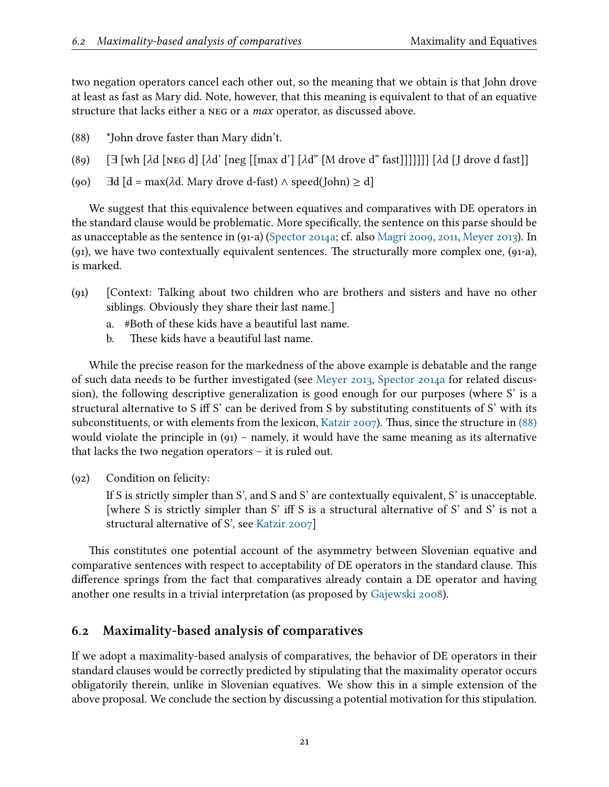two negation operators cancel each other out, so the meaning that we obtain is that John drove at least as fast as Mary did. Note, however, that this meaning is equivalent to that of an equative structure that lacks either a neg or a max operator, as discussed above.

- <span id="page-20-2"></span>(88) \*John drove faster than Mary didn't.
- <span id="page-20-1"></span>(89)  $\left[\exists \left[ \text{wh} \left[ \lambda \text{d} \left[ \text{neg} \left[ \left[ \text{max} \text{d} \right] \left[ \lambda \text{d} \left[ \text{max} \text{d} \right] \left[ \lambda \text{d} \left[ \text{M} \text{ drove} \text{d} \right] \right] \right] \right] \right] \right] \left[\lambda \text{d} \left[ \text{J} \text{ drove} \text{d} \text{fast} \right] \right]$
- (90)  $\exists d \,[d = \max(\lambda d. \text{ Mary drove } d \text{-fast}) \wedge \text{speed(John)} \geq d]$

We suggest that this equivalence between equatives and comparatives with DE operators in the standard clause would be problematic. More specifically, the sentence on this parse should be as unacceptable as the sentence in (91-a) [\(Spector](#page-26-12) [2014a;](#page-26-12) cf. also [Magri](#page-26-13) [2009,](#page-26-13) [2011,](#page-26-14) [Meyer](#page-26-15) [2013\)](#page-26-15). In  $(91)$ , we have two contextually equivalent sentences. The structurally more complex one,  $(91-a)$ , is marked.

- (91) [Context: Talking about two children who are brothers and sisters and have no other siblings. Obviously they share their last name.]
	- a. #Both of these kids have a beautiful last name.
	- b. These kids have a beautiful last name.

While the precise reason for the markedness of the above example is debatable and the range of such data needs to be further investigated (see [Meyer](#page-26-15) [2013,](#page-26-15) [Spector](#page-26-12) [2014a](#page-26-12) for related discussion), the following descriptive generalization is good enough for our purposes (where S' is a structural alternative to S iff S' can be derived from S by substituting constituents of S' with its subconstituents, or with elements from the lexicon, [Katzir](#page-25-14) [2007\)](#page-25-14). Thus, since the structure in  $(88)$ would violate the principle in  $(g_1)$  – namely, it would have the same meaning as its alternative that lacks the two negation operators – it is ruled out.

<span id="page-20-3"></span>(92) Condition on felicity:

If S is strictly simpler than S', and S and S' are contextually equivalent, S' is unacceptable. [where S is strictly simpler than S' iff S is a structural alternative of S' and S' is not a structural alternative of S', see [Katzir](#page-25-14) [2007\]](#page-25-14)

This constitutes one potential account of the asymmetry between Slovenian equative and comparative sentences with respect to acceptability of DE operators in the standard clause. This difference springs from the fact that comparatives already contain a DE operator and having another one results in a trivial interpretation (as proposed by [Gajewski](#page-25-2) [2008\)](#page-25-2).

#### <span id="page-20-0"></span>6.2 Maximality-based analysis of comparatives

If we adopt a maximality-based analysis of comparatives, the behavior of DE operators in their standard clauses would be correctly predicted by stipulating that the maximality operator occurs obligatorily therein, unlike in Slovenian equatives. We show this in a simple extension of the above proposal. We conclude the section by discussing a potential motivation for this stipulation.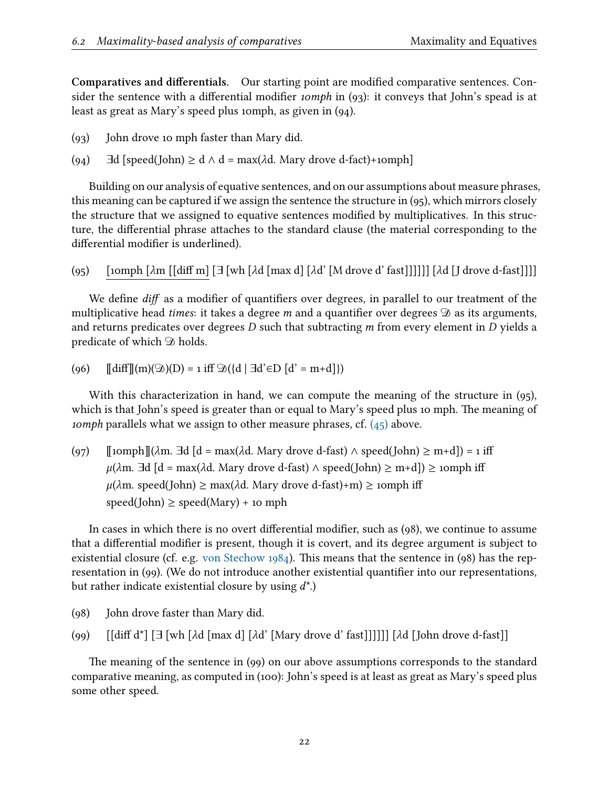Comparatives and differentials. Our starting point are modified comparative sentences. Consider the sentence with a differential modifier *iomph* in  $(g_3)$ : it conveys that John's spead is at least as great as Mary's speed plus 10mph, as given in (94).

- (93) John drove 10 mph faster than Mary did.
- (94)  $\exists d$  [speed(John)  $\geq d \wedge d = \max(\lambda d)$ . Mary drove d-fact)+10mph]

Building on our analysis of equative sentences, and on our assumptions about measure phrases, this meaning can be captured if we assign the sentence the structure in (95), which mirrors closely the structure that we assigned to equative sentences modified by multiplicatives. In this structure, the differential phrase attaches to the standard clause (the material corresponding to the differential modifier is underlined).

(95)  $\left[\text{10mmh }[\text{dim }[\text{diff m}] \;[\exists \;[\text{wh }[\lambda \text{d }[\text{max d}] \;[\lambda \text{d'}[\text{M} \; \text{drove d'} \; \text{fast}]]]]\right]\right] [\lambda \text{d }[\text{J} \; \text{drove d-fast}]]]$ 

We define  $\text{diff}$  as a modifier of quantifiers over degrees, in parallel to our treatment of the multiplicative head times: it takes a degree m and a quantifier over degrees  $\mathcal D$  as its arguments, and returns predicates over degrees  $D$  such that subtracting  $m$  from every element in  $D$  yields a predicate of which  $\mathfrak D$  holds.

$$
(96) \qquad \text{[[diff]]}(m)(\mathfrak{D})(D) = 1 \text{ iff } \mathfrak{D}(\{d \mid \exists d \in D \ [d' = m + d]\})
$$

With this characterization in hand, we can compute the meaning of the structure in (95), which is that John's speed is greater than or equal to Mary's speed plus 10 mph. The meaning of *10mph* parallels what we assign to other measure phrases, cf.  $(45)$  above.

(97)  $\lceil \text{1omph} \rceil (\lambda m)$ .  $\lceil \text{d} \rceil = \max(\lambda d)$ . Mary drove d-fast)  $\land$  speed(John)  $\geq m+d$ ]) = 1 iff  $\mu(\lambda m. \ \exists d \ [d = \max(\lambda d. \ \text{Mary} \ d\text{-fast}) \land \text{speed(John)} \geq m+d]) \geq \text{10mph} \ if$  $\mu(\lambda m. \text{ speed}(John) \ge \max(\lambda d. \text{ Mary drove d-fast}) + m) \ge \text{10mph iff}$  $speed(John) \geq speed(Mary) + 10 mph$ 

In cases in which there is no overt differential modifier, such as  $(98)$ , we continue to assume that a differential modifier is present, though it is covert, and its degree argument is subject to existential closure (cf. e.g. [von Stechow](#page-27-0) [1984\)](#page-27-0). This means that the sentence in (98) has the representation in  $(99)$ . (We do not introduce another existential quantifier into our representations, but rather indicate existential closure by using  $d^*$ .)

- (98) John drove faster than Mary did.
- (99)  $\left[\left[\text{diff d}^*\right]\left[\exists \left[wh \left[\lambda d\left(\text{max d}\right]\left[\lambda d\right]\left(\text{Mary drove d}'\right. \text{fast}\right]]\right]\right]\right] \left[\lambda d\left[\text{John drove d-fast}\right]\right]$

The meaning of the sentence in  $(99)$  on our above assumptions corresponds to the standard comparative meaning, as computed in (100): John's speed is at least as great as Mary's speed plus some other speed.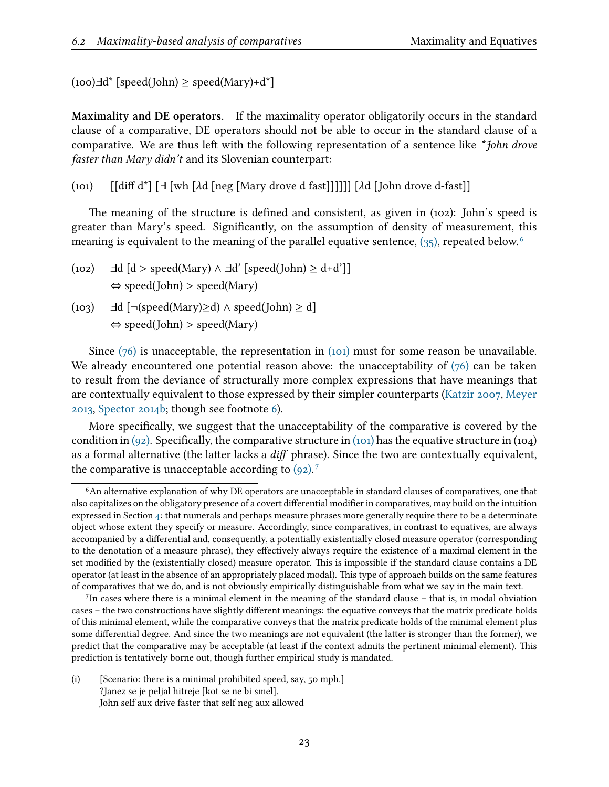$(100)$ ∃d<sup>\*</sup> [speed(John) ≥ speed(Mary)+d<sup>\*</sup>]

Maximality and DE operators. If the maximality operator obligatorily occurs in the standard clause of a comparative, DE operators should not be able to occur in the standard clause of a comparative. We are thus left with the following representation of a sentence like  $*$ *fohn drove* faster than Mary didn't and its Slovenian counterpart:

<span id="page-22-1"></span>(101)  $\left[ \left[ \text{diff } d^* \right] \right] = \left[ \text{wh } [\lambda d \left[ \text{neg } [\text{Mary drove } d \text{ fast}]] \right] \right] \left[ \lambda d \left[ \text{John drove } d \text{-fast} \right] \right]$ 

The meaning of the structure is defined and consistent, as given in (102): John's speed is greater than Mary's speed[.](#page-22-0) Significantly, on the assumption of density of measurement, this meaning is equivalent to the meaning of the parallel equative sentence,  $(35)$ , repeated below.<sup>6</sup>

- (102)  $\exists d \,[d > speed(Mary) \land \exists d' \,[speed(John) \geq d+d']]$  $\Leftrightarrow$  speed(John) > speed(Mary)
- (103) ∃d [¬(speed(Mary)≥d) ∧ speed(John) ≥ d]  $\Leftrightarrow$  speed(John) > speed(Mary)

Since  $(76)$  is unacceptable, the representation in  $(101)$  must for some reason be unavailable. We already encountered one potential reason above: the unacceptability of  $(76)$  can be taken to result from the deviance of structurally more complex expressions that have meanings that are contextually equivalent to those expressed by their simpler counterparts [\(Katzir](#page-25-14) [2007,](#page-25-14) [Meyer](#page-26-15) [2013,](#page-26-15) [Spector](#page-26-16) [2014b;](#page-26-16) though see footnote [6\)](#page-22-0).

More specifically, we suggest that the unacceptability of the comparative is covered by the condition in [\(92\).](#page-20-3) Specifically, the comparative structure in [\(101\)](#page-22-1) has the equative structure in (104) as a formal alternative (the latter lacks a *diff* phrase)[.](#page-22-2) Since the two are contextually equivalent, the comparative is unacceptable according to  $(g_2)$ .<sup>7</sup> the comparative is unacceptable according to  $(q_2)$ .<sup>7</sup>

 $(i)$  [Scenario: there is a minimal prohibited speed, say, 50 mph.] ?Janez se je peljal hitreje [kot se ne bi smel]. John self aux drive faster that self neg aux allowed

<span id="page-22-0"></span><sup>&</sup>lt;sup>6</sup>An alternative explanation of why DE operators are unacceptable in standard clauses of comparatives, one that also capitalizes on the obligatory presence of a covert differential modifier in comparatives, may build on the intuition expressed in Section [4:](#page-9-0) that numerals and perhaps measure phrases more generally require there to be a determinate object whose extent they specify or measure. Accordingly, since comparatives, in contrast to equatives, are always accompanied by a differential and, consequently, a potentially existentially closed measure operator (corresponding to the denotation of a measure phrase), they effectively always require the existence of a maximal element in the set modified by the (existentially closed) measure operator. This is impossible if the standard clause contains a DE operator (at least in the absence of an appropriately placed modal). is type of approach builds on the same features of comparatives that we do, and is not obviously empirically distinguishable from what we say in the main text.

<span id="page-22-2"></span>In cases where there is a minimal element in the meaning of the standard clause – that is, in modal obviation cases – the two constructions have slightly different meanings: the equative conveys that the matrix predicate holds of this minimal element, while the comparative conveys that the matrix predicate holds of the minimal element plus some differential degree. And since the two meanings are not equivalent (the latter is stronger than the former), we predict that the comparative may be acceptable (at least if the context admits the pertinent minimal element). This prediction is tentatively borne out, though further empirical study is mandated.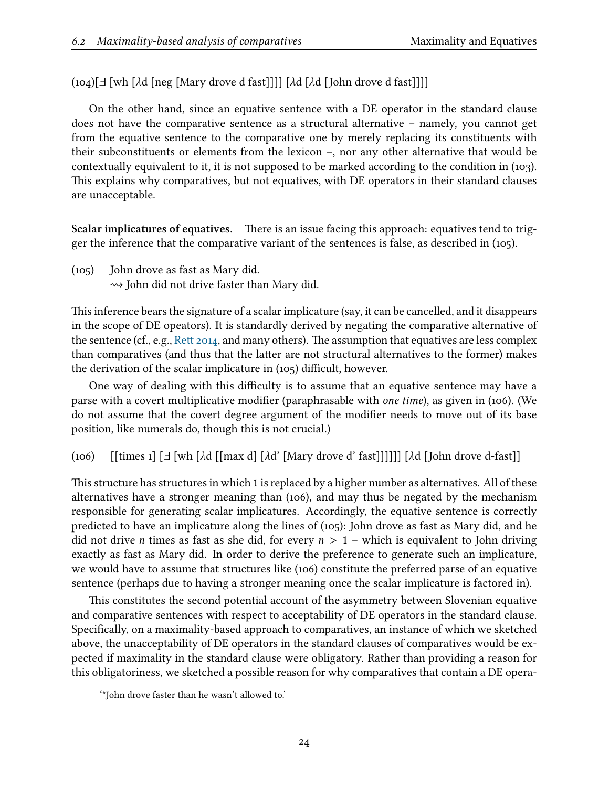#### (104)[<sup>∃</sup> [wh [λd [neg [Mary drove d fast]]]] [λd [λd [John drove d fast]]]]

On the other hand, since an equative sentence with a DE operator in the standard clause does not have the comparative sentence as a structural alternative – namely, you cannot get from the equative sentence to the comparative one by merely replacing its constituents with their subconstituents or elements from the lexicon –, nor any other alternative that would be contextually equivalent to it, it is not supposed to be marked according to the condition in (103). This explains why comparatives, but not equatives, with DE operators in their standard clauses are unacceptable.

Scalar implicatures of equatives. There is an issue facing this approach: equatives tend to trigger the inference that the comparative variant of the sentences is false, as described in (105).

(105) John drove as fast as Mary did.  $\rightsquigarrow$  John did not drive faster than Mary did.

This inference bears the signature of a scalar implicature (say, it can be cancelled, and it disappears in the scope of DE opeators). It is standardly derived by negating the comparative alternative of the sentence (cf., e.g., [Re](#page-26-6)tt [2014,](#page-26-6) and many others). The assumption that equatives are less complex than comparatives (and thus that the latter are not structural alternatives to the former) makes the derivation of the scalar implicature in  $(105)$  difficult, however.

One way of dealing with this difficulty is to assume that an equative sentence may have a parse with a covert multiplicative modifier (paraphrasable with *one time*), as given in (106). (We do not assume that the covert degree argument of the modifier needs to move out of its base position, like numerals do, though this is not crucial.)

(106) [[times 1] [<sup>∃</sup> [wh [λd [[max d] [λd' [Mary drove d' fast]]]]]] [λd [John drove d-fast]]

This structure has structures in which 1 is replaced by a higher number as alternatives. All of these alternatives have a stronger meaning than (106), and may thus be negated by the mechanism responsible for generating scalar implicatures. Accordingly, the equative sentence is correctly predicted to have an implicature along the lines of (105): John drove as fast as Mary did, and he did not drive *n* times as fast as she did, for every  $n > 1$  – which is equivalent to John driving exactly as fast as Mary did. In order to derive the preference to generate such an implicature, we would have to assume that structures like (106) constitute the preferred parse of an equative sentence (perhaps due to having a stronger meaning once the scalar implicature is factored in).

This constitutes the second potential account of the asymmetry between Slovenian equative and comparative sentences with respect to acceptability of DE operators in the standard clause. Specifically, on a maximality-based approach to comparatives, an instance of which we sketched above, the unacceptability of DE operators in the standard clauses of comparatives would be expected if maximality in the standard clause were obligatory. Rather than providing a reason for this obligatoriness, we sketched a possible reason for why comparatives that contain a DE opera-

<sup>&#</sup>x27;\*John drove faster than he wasn't allowed to.'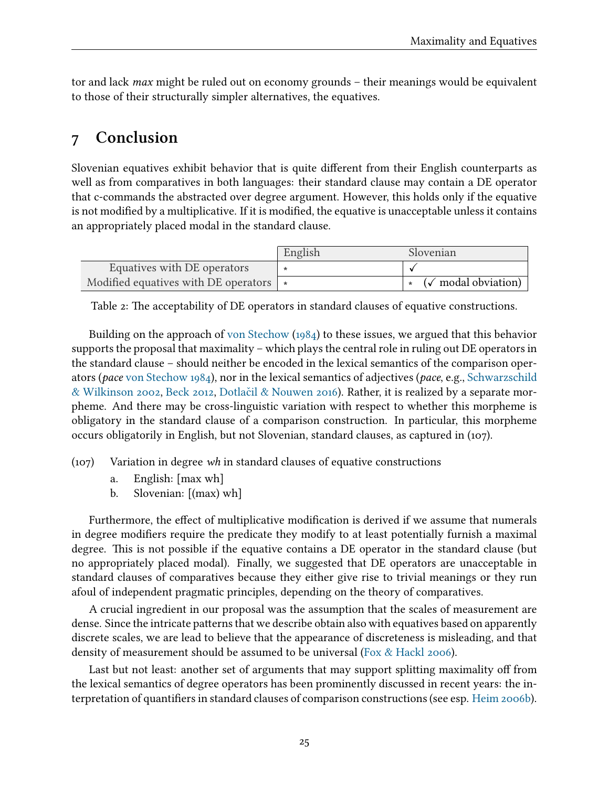tor and lack max might be ruled out on economy grounds – their meanings would be equivalent to those of their structurally simpler alternatives, the equatives.

### <span id="page-24-0"></span>7 Conclusion

Slovenian equatives exhibit behavior that is quite different from their English counterparts as well as from comparatives in both languages: their standard clause may contain a DE operator that c-commands the abstracted over degree argument. However, this holds only if the equative is not modified by a multiplicative. If it is modified, the equative is unacceptable unless it contains an appropriately placed modal in the standard clause.

|                                                | English | Slovenian                               |
|------------------------------------------------|---------|-----------------------------------------|
| Equatives with DE operators                    | $\ast$  |                                         |
| Modified equatives with DE operators $\vert$ * |         | $\star$ ( $\checkmark$ modal obviation) |

Table 2: The acceptability of DE operators in standard clauses of equative constructions.

Building on the approach of [von Stechow](#page-27-0) [\(1984\)](#page-27-0) to these issues, we argued that this behavior supports the proposal that maximality – which plays the central role in ruling out DE operators in the standard clause – should neither be encoded in the lexical semantics of the comparison operators (pace [von Stechow](#page-27-0) [1984\)](#page-27-0), nor in the lexical semantics of adjectives (pace, e.g., [Schwarzschild](#page-26-1) [& Wilkinson](#page-26-1) [2002,](#page-26-1) [Beck](#page-25-7) [2012,](#page-25-7) Dotlactl & Nouwen [2016\)](#page-25-8). Rather, it is realized by a separate morpheme. And there may be cross-linguistic variation with respect to whether this morpheme is obligatory in the standard clause of a comparison construction. In particular, this morpheme occurs obligatorily in English, but not Slovenian, standard clauses, as captured in (107).

- (107) Variation in degree wh in standard clauses of equative constructions
	- a. English: [max wh]
	- b. Slovenian: [(max) wh]

Furthermore, the effect of multiplicative modification is derived if we assume that numerals in degree modifiers require the predicate they modify to at least potentially furnish a maximal degree. This is not possible if the equative contains a DE operator in the standard clause (but no appropriately placed modal). Finally, we suggested that DE operators are unacceptable in standard clauses of comparatives because they either give rise to trivial meanings or they run afoul of independent pragmatic principles, depending on the theory of comparatives.

A crucial ingredient in our proposal was the assumption that the scales of measurement are dense. Since the intricate patterns that we describe obtain also with equatives based on apparently discrete scales, we are lead to believe that the appearance of discreteness is misleading, and that density of measurement should be assumed to be universal [\(Fox & Hackl](#page-25-1) [2006\)](#page-25-1).

Last but not least: another set of arguments that may support splitting maximality off from the lexical semantics of degree operators has been prominently discussed in recent years: the in-terpretation of quantifiers in standard clauses of comparison constructions (see esp. [Heim](#page-25-0) [2006b\)](#page-25-0).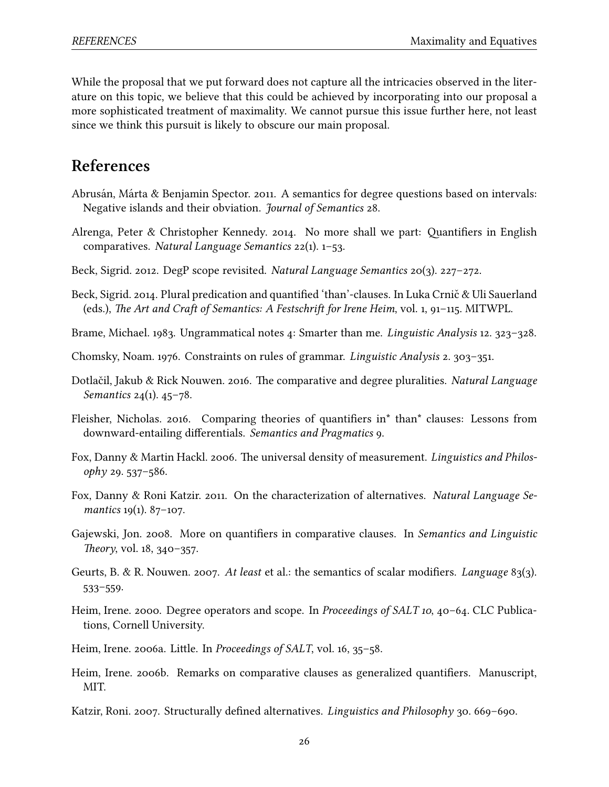While the proposal that we put forward does not capture all the intricacies observed in the literature on this topic, we believe that this could be achieved by incorporating into our proposal a more sophisticated treatment of maximality. We cannot pursue this issue further here, not least since we think this pursuit is likely to obscure our main proposal.

#### References

- <span id="page-25-12"></span>Abrusán, Márta & Benjamin Spector. 2011. A semantics for degree questions based on intervals: Negative islands and their obviation. Journal of Semantics 28.
- <span id="page-25-9"></span>Alrenga, Peter & Christopher Kennedy. 2014. No more shall we part: Quantifiers in English comparatives. Natural Language Semantics  $22(1)$ . 1–53.
- <span id="page-25-7"></span>Beck, Sigrid. 2012. DegP scope revisited. Natural Language Semantics 20(3). 227–272.
- <span id="page-25-11"></span>Beck, Sigrid. 2014. Plural predication and quantified 'than'-clauses. In Luka Crnič & Uli Sauerland (eds.), The Art and Craft of Semantics: A Festschrift for Irene Heim, vol. 1, 91–115. MITWPL.
- <span id="page-25-3"></span>Brame, Michael. 1983. Ungrammatical notes 4: Smarter than me. Linguistic Analysis 12. 323–328.
- <span id="page-25-10"></span>Chomsky, Noam. 1976. Constraints on rules of grammar. Linguistic Analysis 2. 303–351.
- <span id="page-25-8"></span>Dotlačil, Jakub & Rick Nouwen. 2016. The comparative and degree pluralities. *Natural Language* Semantics 24(1). 45–78.
- <span id="page-25-5"></span>Fleisher, Nicholas. 2016. Comparing theories of quantifiers in<sup>\*</sup> than<sup>\*</sup> clauses: Lessons from downward-entailing differentials. Semantics and Pragmatics 9.
- <span id="page-25-1"></span>Fox, Danny & Martin Hackl. 2006. The universal density of measurement. Linguistics and Philos $ophy$  29. 537–586.
- Fox, Danny & Roni Katzir. 2011. On the characterization of alternatives. Natural Language Semantics 19(1). 87–107.
- <span id="page-25-2"></span>Gajewski, Jon. 2008. More on quantifiers in comparative clauses. In Semantics and Linguistic Theory, vol.  $18, 340 - 357$ .
- <span id="page-25-4"></span>Geurts, B. & R. Nouwen. 2007. At least et al.: the semantics of scalar modifiers. Language  $83(3)$ . 533–559.
- <span id="page-25-6"></span>Heim, Irene. 2000. Degree operators and scope. In *Proceedings of SALT 10*, 40–64. CLC Publications, Cornell University.
- <span id="page-25-13"></span>Heim, Irene. 2006a. Little. In *Proceedings of SALT*, vol. 16,  $35-58$ .
- <span id="page-25-0"></span>Heim, Irene. 2006b. Remarks on comparative clauses as generalized quantifiers. Manuscript, MIT.
- <span id="page-25-14"></span>Katzir, Roni. 2007. Structurally defined alternatives. Linguistics and Philosophy 30. 669–690.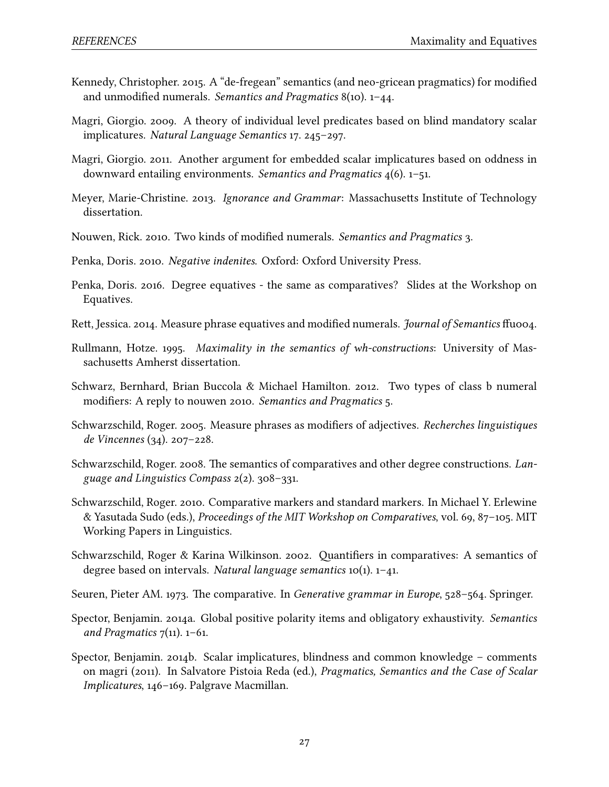- <span id="page-26-11"></span>Kennedy, Christopher. 2015. A "de-fregean" semantics (and neo-gricean pragmatics) for modified and unmodified numerals. Semantics and Pragmatics  $8(10)$ . 1–44.
- <span id="page-26-13"></span>Magri, Giorgio. 2009. A theory of individual level predicates based on blind mandatory scalar implicatures. Natural Language Semantics 17. 245–297.
- <span id="page-26-14"></span>Magri, Giorgio. 2011. Another argument for embedded scalar implicatures based on oddness in downward entailing environments. Semantics and Pragmatics 4(6). 1–51.
- <span id="page-26-15"></span>Meyer, Marie-Christine. 2013. Ignorance and Grammar: Massachusetts Institute of Technology dissertation.
- <span id="page-26-2"></span>Nouwen, Rick. 2010. Two kinds of modified numerals. Semantics and Pragmatics 3.
- <span id="page-26-4"></span>Penka, Doris. 2010. Negative indenites. Oxford: Oxford University Press.
- <span id="page-26-5"></span>Penka, Doris. 2016. Degree equatives - the same as comparatives? Slides at the Workshop on Equatives.
- <span id="page-26-6"></span>Rett, Jessica. 2014. Measure phrase equatives and modified numerals. Journal of Semantics ffuo04.
- <span id="page-26-0"></span>Rullmann, Hotze. 1995. Maximality in the semantics of wh-constructions: University of Massachusetts Amherst dissertation.
- <span id="page-26-3"></span>Schwarz, Bernhard, Brian Buccola & Michael Hamilton. 2012. Two types of class b numeral modifiers: A reply to nouwen 2010. Semantics and Pragmatics 5.
- <span id="page-26-10"></span>Schwarzschild, Roger. 2005. Measure phrases as modifiers of adjectives. Recherches linguistiques de Vincennes (34). 207–228.
- <span id="page-26-8"></span>Schwarzschild, Roger. 2008. The semantics of comparatives and other degree constructions. Language and Linguistics Compass 2(2). 308–331.
- <span id="page-26-9"></span>Schwarzschild, Roger. 2010. Comparative markers and standard markers. In Michael Y. Erlewine & Yasutada Sudo (eds.), Proceedings of the MIT Workshop on Comparatives, vol. 69, 87–105. MIT Working Papers in Linguistics.
- <span id="page-26-1"></span>Schwarzschild, Roger & Karina Wilkinson. 2002. Quantifiers in comparatives: A semantics of degree based on intervals. Natural language semantics 10(1). 1–41.
- <span id="page-26-7"></span>Seuren, Pieter AM. 1973. The comparative. In Generative grammar in Europe, 528–564. Springer.
- <span id="page-26-12"></span>Spector, Benjamin. 2014a. Global positive polarity items and obligatory exhaustivity. Semantics and Pragmatics  $7(11)$ . 1–61.
- <span id="page-26-16"></span>Spector, Benjamin. 2014b. Scalar implicatures, blindness and common knowledge – comments on magri (2011). In Salvatore Pistoia Reda (ed.), Pragmatics, Semantics and the Case of Scalar Implicatures, 146–169. Palgrave Macmillan.